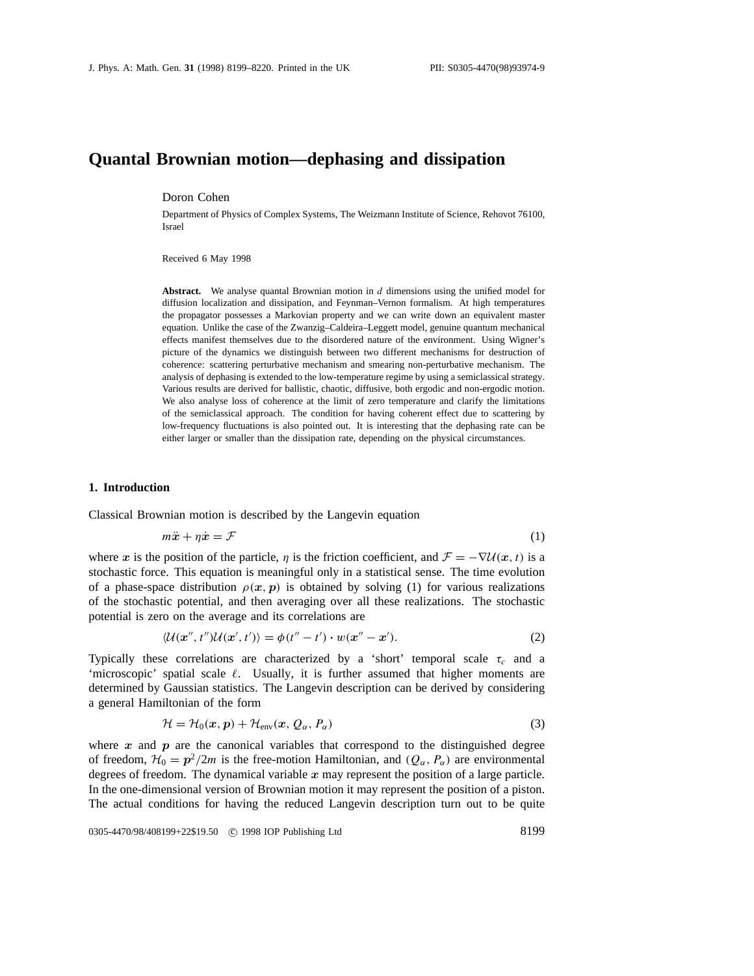# **Quantal Brownian motion—dephasing and dissipation**

Doron Cohen

Department of Physics of Complex Systems, The Weizmann Institute of Science, Rehovot 76100, Israel

Received 6 May 1998

**Abstract.** We analyse quantal Brownian motion in *d* dimensions using the unified model for diffusion localization and dissipation, and Feynman–Vernon formalism. At high temperatures the propagator possesses a Markovian property and we can write down an equivalent master equation. Unlike the case of the Zwanzig–Caldeira–Leggett model, genuine quantum mechanical effects manifest themselves due to the disordered nature of the environment. Using Wigner's picture of the dynamics we distinguish between two different mechanisms for destruction of coherence: scattering perturbative mechanism and smearing non-perturbative mechanism. The analysis of dephasing is extended to the low-temperature regime by using a semiclassical strategy. Various results are derived for ballistic, chaotic, diffusive, both ergodic and non-ergodic motion. We also analyse loss of coherence at the limit of zero temperature and clarify the limitations of the semiclassical approach. The condition for having coherent effect due to scattering by low-frequency fluctuations is also pointed out. It is interesting that the dephasing rate can be either larger or smaller than the dissipation rate, depending on the physical circumstances.

### **1. Introduction**

Classical Brownian motion is described by the Langevin equation

$$
m\ddot{x} + \eta \dot{x} = \mathcal{F} \tag{1}
$$

where *x* is the position of the particle, *η* is the friction coefficient, and  $\mathcal{F} = -\nabla \mathcal{U}(x, t)$  is a stochastic force. This equation is meaningful only in a statistical sense. The time evolution of a phase-space distribution  $\rho(x, p)$  is obtained by solving (1) for various realizations of the stochastic potential, and then averaging over all these realizations. The stochastic potential is zero on the average and its correlations are

$$
\langle \mathcal{U}(\mathbf{x}'',t'')\mathcal{U}(\mathbf{x}',t')\rangle = \phi(t''-t')\cdot w(\mathbf{x}''-\mathbf{x}'). \tag{2}
$$

Typically these correlations are characterized by a 'short' temporal scale  $\tau_c$  and a 'microscopic' spatial scale  $\ell$ . Usually, it is further assumed that higher moments are determined by Gaussian statistics. The Langevin description can be derived by considering a general Hamiltonian of the form

$$
\mathcal{H} = \mathcal{H}_0(x, p) + \mathcal{H}_{env}(x, Q_\alpha, P_\alpha)
$$
\n(3)

where  $x$  and  $p$  are the canonical variables that correspond to the distinguished degree of freedom,  $\mathcal{H}_0 = p^2/2m$  is the free-motion Hamiltonian, and  $(Q_\alpha, P_\alpha)$  are environmental degrees of freedom. The dynamical variable *x* may represent the position of a large particle. In the one-dimensional version of Brownian motion it may represent the position of a piston. The actual conditions for having the reduced Langevin description turn out to be quite

0305-4470/98/408199+22\$19.50 © 1998 IOP Publishing Ltd 8199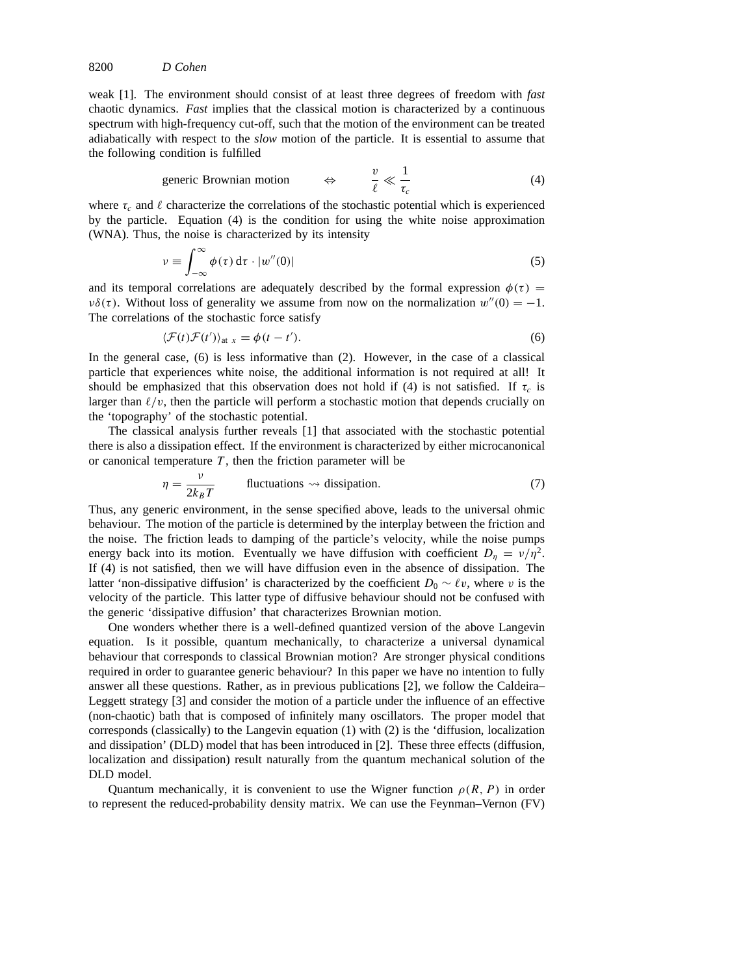weak [1]. The environment should consist of at least three degrees of freedom with *fast* chaotic dynamics. *Fast* implies that the classical motion is characterized by a continuous spectrum with high-frequency cut-off, such that the motion of the environment can be treated adiabatically with respect to the *slow* motion of the particle. It is essential to assume that the following condition is fulfilled

$$
\text{generic Brownian motion} \qquad \Leftrightarrow \qquad \frac{v}{\ell} \ll \frac{1}{\tau_c} \tag{4}
$$

where  $\tau_c$  and  $\ell$  characterize the correlations of the stochastic potential which is experienced by the particle. Equation (4) is the condition for using the white noise approximation (WNA). Thus, the noise is characterized by its intensity

$$
\nu \equiv \int_{-\infty}^{\infty} \phi(\tau) d\tau \cdot |w''(0)| \tag{5}
$$

and its temporal correlations are adequately described by the formal expression  $\phi(\tau)$  = *νδ*(τ). Without loss of generality we assume from now on the normalization  $w''(0) = -1$ . The correlations of the stochastic force satisfy

$$
\langle \mathcal{F}(t)\mathcal{F}(t')\rangle_{\text{at } x} = \phi(t-t').\tag{6}
$$

In the general case, (6) is less informative than (2). However, in the case of a classical particle that experiences white noise, the additional information is not required at all! It should be emphasized that this observation does not hold if (4) is not satisfied. If  $\tau_c$  is larger than  $\ell/v$ , then the particle will perform a stochastic motion that depends crucially on the 'topography' of the stochastic potential.

The classical analysis further reveals [1] that associated with the stochastic potential there is also a dissipation effect. If the environment is characterized by either microcanonical or canonical temperature  $T$ , then the friction parameter will be

$$
\eta = \frac{\nu}{2k_B T}
$$
 fluctuations  $\leadsto$  dissipation. (7)

Thus, any generic environment, in the sense specified above, leads to the universal ohmic behaviour. The motion of the particle is determined by the interplay between the friction and the noise. The friction leads to damping of the particle's velocity, while the noise pumps energy back into its motion. Eventually we have diffusion with coefficient  $D_n = v/\eta^2$ . If (4) is not satisfied, then we will have diffusion even in the absence of dissipation. The latter 'non-dissipative diffusion' is characterized by the coefficient  $D_0 \sim \ell v$ , where *v* is the velocity of the particle. This latter type of diffusive behaviour should not be confused with the generic 'dissipative diffusion' that characterizes Brownian motion.

One wonders whether there is a well-defined quantized version of the above Langevin equation. Is it possible, quantum mechanically, to characterize a universal dynamical behaviour that corresponds to classical Brownian motion? Are stronger physical conditions required in order to guarantee generic behaviour? In this paper we have no intention to fully answer all these questions. Rather, as in previous publications [2], we follow the Caldeira– Leggett strategy [3] and consider the motion of a particle under the influence of an effective (non-chaotic) bath that is composed of infinitely many oscillators. The proper model that corresponds (classically) to the Langevin equation (1) with (2) is the 'diffusion, localization and dissipation' (DLD) model that has been introduced in [2]. These three effects (diffusion, localization and dissipation) result naturally from the quantum mechanical solution of the DLD model.

Quantum mechanically, it is convenient to use the Wigner function  $\rho(R, P)$  in order to represent the reduced-probability density matrix. We can use the Feynman–Vernon (FV)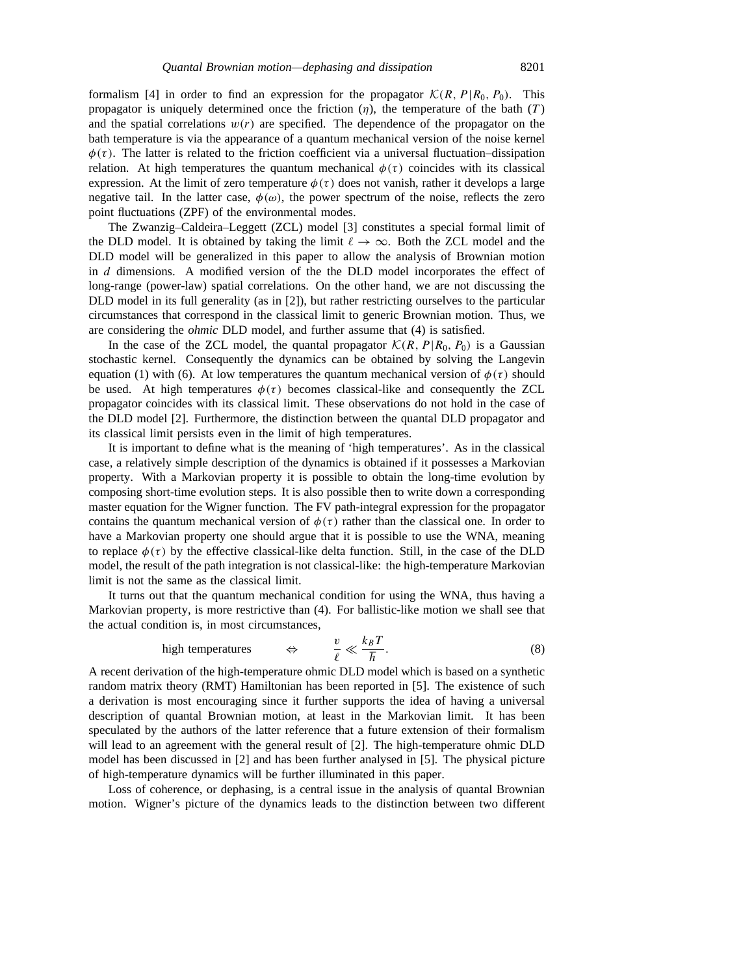formalism [4] in order to find an expression for the propagator  $\mathcal{K}(R, P | R_0, P_0)$ . This propagator is uniquely determined once the friction  $(\eta)$ , the temperature of the bath  $(T)$ and the spatial correlations  $w(r)$  are specified. The dependence of the propagator on the bath temperature is via the appearance of a quantum mechanical version of the noise kernel  $\phi(\tau)$ . The latter is related to the friction coefficient via a universal fluctuation–dissipation relation. At high temperatures the quantum mechanical  $\phi(\tau)$  coincides with its classical expression. At the limit of zero temperature  $\phi(\tau)$  does not vanish, rather it develops a large negative tail. In the latter case,  $\phi(\omega)$ , the power spectrum of the noise, reflects the zero point fluctuations (ZPF) of the environmental modes.

The Zwanzig–Caldeira–Leggett (ZCL) model [3] constitutes a special formal limit of the DLD model. It is obtained by taking the limit  $\ell \rightarrow \infty$ . Both the ZCL model and the DLD model will be generalized in this paper to allow the analysis of Brownian motion in *d* dimensions. A modified version of the the DLD model incorporates the effect of long-range (power-law) spatial correlations. On the other hand, we are not discussing the DLD model in its full generality (as in [2]), but rather restricting ourselves to the particular circumstances that correspond in the classical limit to generic Brownian motion. Thus, we are considering the *ohmic* DLD model, and further assume that (4) is satisfied.

In the case of the ZCL model, the quantal propagator  $\mathcal{K}(R, P | R_0, P_0)$  is a Gaussian stochastic kernel. Consequently the dynamics can be obtained by solving the Langevin equation (1) with (6). At low temperatures the quantum mechanical version of  $\phi(\tau)$  should be used. At high temperatures  $\phi(\tau)$  becomes classical-like and consequently the ZCL propagator coincides with its classical limit. These observations do not hold in the case of the DLD model [2]. Furthermore, the distinction between the quantal DLD propagator and its classical limit persists even in the limit of high temperatures.

It is important to define what is the meaning of 'high temperatures'. As in the classical case, a relatively simple description of the dynamics is obtained if it possesses a Markovian property. With a Markovian property it is possible to obtain the long-time evolution by composing short-time evolution steps. It is also possible then to write down a corresponding master equation for the Wigner function. The FV path-integral expression for the propagator contains the quantum mechanical version of  $\phi(\tau)$  rather than the classical one. In order to have a Markovian property one should argue that it is possible to use the WNA, meaning to replace  $\phi(\tau)$  by the effective classical-like delta function. Still, in the case of the DLD model, the result of the path integration is not classical-like: the high-temperature Markovian limit is not the same as the classical limit.

It turns out that the quantum mechanical condition for using the WNA, thus having a Markovian property, is more restrictive than (4). For ballistic-like motion we shall see that the actual condition is, in most circumstances,

high temperatures 
$$
\Leftrightarrow \qquad \frac{v}{\ell} \ll \frac{k_B T}{\hbar}.
$$
 (8)

A recent derivation of the high-temperature ohmic DLD model which is based on a synthetic random matrix theory (RMT) Hamiltonian has been reported in [5]. The existence of such a derivation is most encouraging since it further supports the idea of having a universal description of quantal Brownian motion, at least in the Markovian limit. It has been speculated by the authors of the latter reference that a future extension of their formalism will lead to an agreement with the general result of [2]. The high-temperature ohmic DLD model has been discussed in [2] and has been further analysed in [5]. The physical picture of high-temperature dynamics will be further illuminated in this paper.

Loss of coherence, or dephasing, is a central issue in the analysis of quantal Brownian motion. Wigner's picture of the dynamics leads to the distinction between two different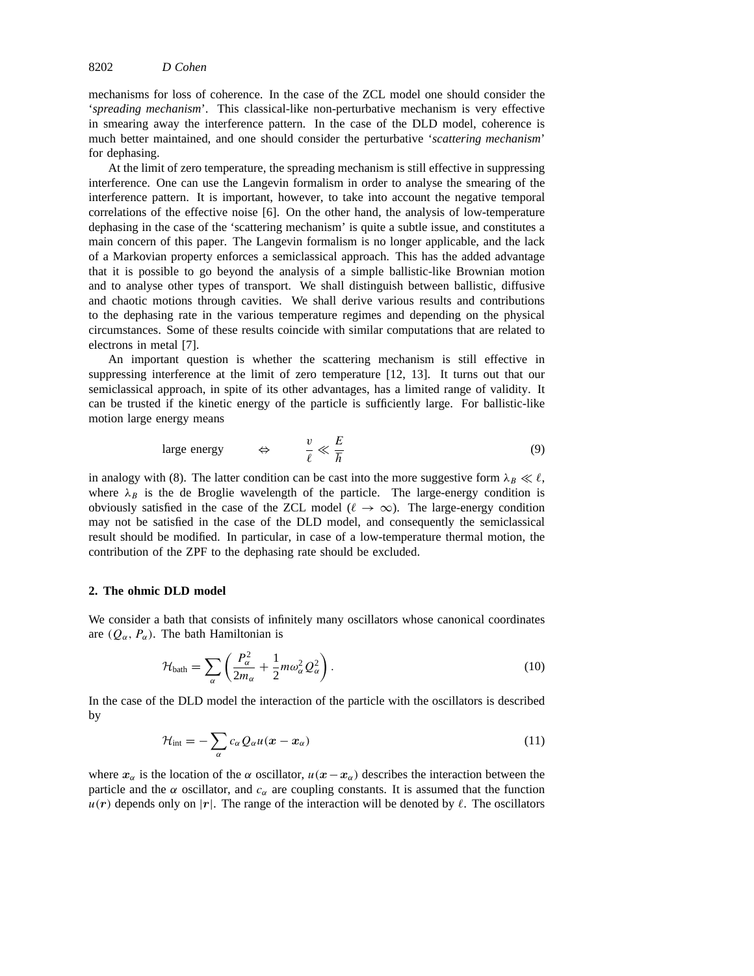mechanisms for loss of coherence. In the case of the ZCL model one should consider the '*spreading mechanism*'. This classical-like non-perturbative mechanism is very effective in smearing away the interference pattern. In the case of the DLD model, coherence is much better maintained, and one should consider the perturbative '*scattering mechanism*' for dephasing.

At the limit of zero temperature, the spreading mechanism is still effective in suppressing interference. One can use the Langevin formalism in order to analyse the smearing of the interference pattern. It is important, however, to take into account the negative temporal correlations of the effective noise [6]. On the other hand, the analysis of low-temperature dephasing in the case of the 'scattering mechanism' is quite a subtle issue, and constitutes a main concern of this paper. The Langevin formalism is no longer applicable, and the lack of a Markovian property enforces a semiclassical approach. This has the added advantage that it is possible to go beyond the analysis of a simple ballistic-like Brownian motion and to analyse other types of transport. We shall distinguish between ballistic, diffusive and chaotic motions through cavities. We shall derive various results and contributions to the dephasing rate in the various temperature regimes and depending on the physical circumstances. Some of these results coincide with similar computations that are related to electrons in metal [7].

An important question is whether the scattering mechanism is still effective in suppressing interference at the limit of zero temperature [12, 13]. It turns out that our semiclassical approach, in spite of its other advantages, has a limited range of validity. It can be trusted if the kinetic energy of the particle is sufficiently large. For ballistic-like motion large energy means

$$
\text{large energy} \qquad \Leftrightarrow \qquad \frac{v}{\ell} \ll \frac{E}{\hbar} \tag{9}
$$

in analogy with (8). The latter condition can be cast into the more suggestive form  $\lambda_B \ll \ell$ , where  $\lambda_B$  is the de Broglie wavelength of the particle. The large-energy condition is obviously satisfied in the case of the ZCL model ( $\ell \rightarrow \infty$ ). The large-energy condition may not be satisfied in the case of the DLD model, and consequently the semiclassical result should be modified. In particular, in case of a low-temperature thermal motion, the contribution of the ZPF to the dephasing rate should be excluded.

### **2. The ohmic DLD model**

We consider a bath that consists of infinitely many oscillators whose canonical coordinates are  $(Q_{\alpha}, P_{\alpha})$ . The bath Hamiltonian is

$$
\mathcal{H}_{\text{bath}} = \sum_{\alpha} \left( \frac{P_{\alpha}^2}{2m_{\alpha}} + \frac{1}{2} m \omega_{\alpha}^2 Q_{\alpha}^2 \right). \tag{10}
$$

In the case of the DLD model the interaction of the particle with the oscillators is described by

$$
\mathcal{H}_{\text{int}} = -\sum_{\alpha} c_{\alpha} Q_{\alpha} u(\boldsymbol{x} - \boldsymbol{x}_{\alpha}) \tag{11}
$$

where  $x_\alpha$  is the location of the  $\alpha$  oscillator,  $u(x-x_\alpha)$  describes the interaction between the particle and the  $\alpha$  oscillator, and  $c_{\alpha}$  are coupling constants. It is assumed that the function  $u(r)$  depends only on |r|. The range of the interaction will be denoted by  $\ell$ . The oscillators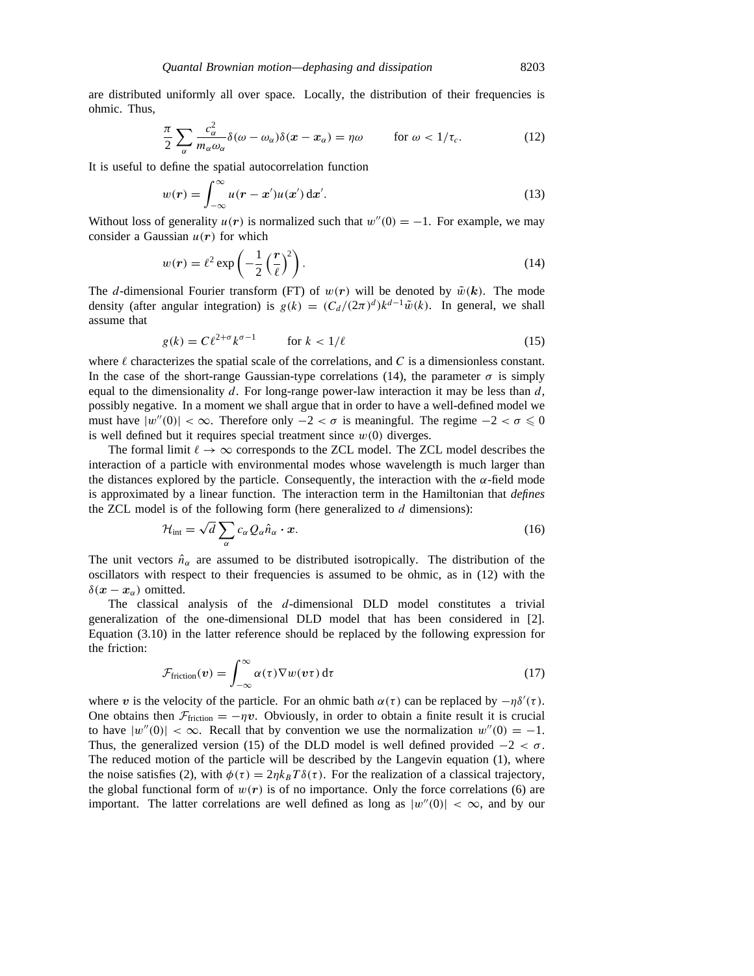are distributed uniformly all over space. Locally, the distribution of their frequencies is ohmic. Thus,

$$
\frac{\pi}{2} \sum_{\alpha} \frac{c_{\alpha}^2}{m_{\alpha}\omega_{\alpha}} \delta(\omega - \omega_{\alpha}) \delta(\boldsymbol{x} - \boldsymbol{x}_{\alpha}) = \eta \omega \qquad \text{for } \omega < 1/\tau_c.
$$
 (12)

It is useful to define the spatial autocorrelation function

$$
w(r) = \int_{-\infty}^{\infty} u(r - x')u(x') dx'.
$$
 (13)

Without loss of generality  $u(r)$  is normalized such that  $w''(0) = -1$ . For example, we may consider a Gaussian  $u(r)$  for which

$$
w(r) = \ell^2 \exp\left(-\frac{1}{2}\left(\frac{r}{\ell}\right)^2\right).
$$
 (14)

The *d*-dimensional Fourier transform (FT) of  $w(r)$  will be denoted by  $\tilde{w}(k)$ . The mode density (after angular integration) is  $g(k) = (C_d/(2\pi)^d)k^{d-1}\tilde{w}(k)$ . In general, we shall assume that

$$
g(k) = C\ell^{2+\sigma}k^{\sigma-1} \qquad \text{for } k < 1/\ell \tag{15}
$$

where  $\ell$  characterizes the spatial scale of the correlations, and  $C$  is a dimensionless constant. In the case of the short-range Gaussian-type correlations (14), the parameter  $\sigma$  is simply equal to the dimensionality *d*. For long-range power-law interaction it may be less than *d*, possibly negative. In a moment we shall argue that in order to have a well-defined model we must have  $|w''(0)| < \infty$ . Therefore only  $-2 < \sigma$  is meaningful. The regime  $-2 < \sigma \le 0$ is well defined but it requires special treatment since  $w(0)$  diverges.

The formal limit  $\ell \to \infty$  corresponds to the ZCL model. The ZCL model describes the interaction of a particle with environmental modes whose wavelength is much larger than the distances explored by the particle. Consequently, the interaction with the *α*-field mode is approximated by a linear function. The interaction term in the Hamiltonian that *defines* the ZCL model is of the following form (here generalized to *d* dimensions):

$$
\mathcal{H}_{\text{int}} = \sqrt{d} \sum_{\alpha} c_{\alpha} Q_{\alpha} \hat{n}_{\alpha} \cdot x. \tag{16}
$$

The unit vectors  $\hat{n}_{\alpha}$  are assumed to be distributed isotropically. The distribution of the oscillators with respect to their frequencies is assumed to be ohmic, as in (12) with the *δ*( $x - x_α$ ) omitted.

The classical analysis of the *d*-dimensional DLD model constitutes a trivial generalization of the one-dimensional DLD model that has been considered in [2]. Equation (3.10) in the latter reference should be replaced by the following expression for the friction:

$$
\mathcal{F}_{\text{friction}}(v) = \int_{-\infty}^{\infty} \alpha(\tau) \nabla w(v\tau) d\tau \tag{17}
$$

where *v* is the velocity of the particle. For an ohmic bath  $\alpha(\tau)$  can be replaced by  $-\eta \delta'(\tau)$ . One obtains then  $\mathcal{F}_{\text{friction}} = -\eta v$ . Obviously, in order to obtain a finite result it is crucial to have  $|w''(0)| < \infty$ . Recall that by convention we use the normalization  $w''(0) = -1$ . Thus, the generalized version (15) of the DLD model is well defined provided  $-2 < \sigma$ . The reduced motion of the particle will be described by the Langevin equation (1), where the noise satisfies (2), with  $\phi(\tau) = 2\eta k_B T \delta(\tau)$ . For the realization of a classical trajectory, the global functional form of  $w(r)$  is of no importance. Only the force correlations (6) are important. The latter correlations are well defined as long as  $|w''(0)| < \infty$ , and by our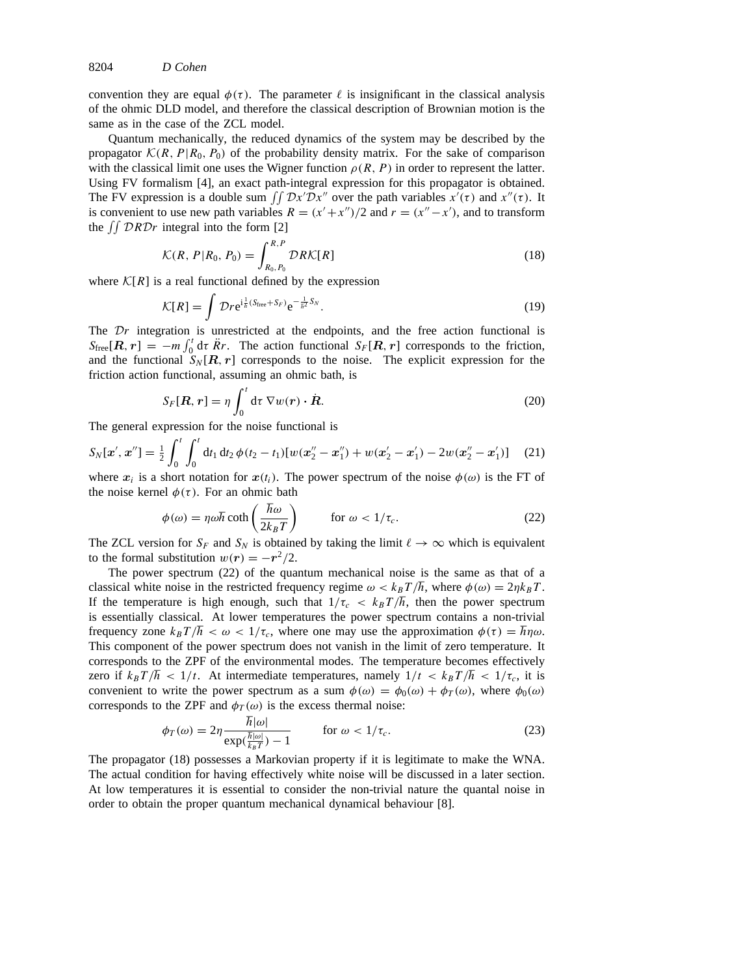convention they are equal  $\phi(\tau)$ . The parameter  $\ell$  is insignificant in the classical analysis of the ohmic DLD model, and therefore the classical description of Brownian motion is the same as in the case of the ZCL model.

Quantum mechanically, the reduced dynamics of the system may be described by the propagator  $\mathcal{K}(R, P | R_0, P_0)$  of the probability density matrix. For the sake of comparison with the classical limit one uses the Wigner function  $\rho(R, P)$  in order to represent the latter. Using FV formalism [4], an exact path-integral expression for this propagator is obtained. The FV expression is a double sum  $\iint \mathcal{D}x' \mathcal{D}x''$  over the path variables  $x'(\tau)$  and  $x''(\tau)$ . It is convenient to use new path variables  $R = (x' + x'')/2$  and  $r = (x'' - x')$ , and to transform the  $\int \int \mathcal{D}R \mathcal{D}r$  integral into the form [2]

$$
\mathcal{K}(R, P|R_0, P_0) = \int_{R_0, P_0}^{R, P} \mathcal{D}R\mathcal{K}[R]
$$
\n(18)

where  $\mathcal{K}[R]$  is a real functional defined by the expression

$$
\mathcal{K}[R] = \int \mathcal{D}r e^{i\frac{1}{\hbar}(S_{\text{free}} + S_F)} e^{-\frac{1}{\hbar^2}S_N}.
$$
 (19)

The *Dr* integration is unrestricted at the endpoints, and the free action functional is  $S_{\text{free}}[R, r] = -m \int_0^t d\tau \, \dot{R}r$ . The action functional  $S_F[R, r]$  corresponds to the friction, and the functional  $S_N [R, r]$  corresponds to the noise. The explicit expression for the friction action functional, assuming an ohmic bath, is

$$
S_F[\mathbf{R}, \mathbf{r}] = \eta \int_0^t \mathrm{d}\tau \, \nabla w(\mathbf{r}) \cdot \dot{\mathbf{R}}.
$$
 (20)

The general expression for the noise functional is

$$
S_N[\mathbf{x}', \mathbf{x}''] = \frac{1}{2} \int_0^t \int_0^t dt_1 dt_2 \, \phi(t_2 - t_1) [w(\mathbf{x}_2'' - \mathbf{x}_1'') + w(\mathbf{x}_2' - \mathbf{x}_1') - 2w(\mathbf{x}_2'' - \mathbf{x}_1')] \tag{21}
$$

where  $x_i$  is a short notation for  $x(t_i)$ . The power spectrum of the noise  $\phi(\omega)$  is the FT of the noise kernel  $\phi(\tau)$ . For an ohmic bath

$$
\phi(\omega) = \eta \omega \hbar \coth\left(\frac{\hbar \omega}{2k_B T}\right) \qquad \text{for } \omega < 1/\tau_c. \tag{22}
$$

The ZCL version for  $S_F$  and  $S_N$  is obtained by taking the limit  $\ell \to \infty$  which is equivalent to the formal substitution  $w(r) = -r^2/2$ .

The power spectrum (22) of the quantum mechanical noise is the same as that of a classical white noise in the restricted frequency regime  $\omega < k_B T / \hbar$ , where  $\phi(\omega) = 2 \eta k_B T$ . If the temperature is high enough, such that  $1/\tau_c$   $\langle k_B T/\hbar$ , then the power spectrum is essentially classical. At lower temperatures the power spectrum contains a non-trivial frequency zone  $k_B T / \hbar < \omega < 1/\tau_c$ , where one may use the approximation  $\phi(\tau) = \hbar \eta \omega$ . This component of the power spectrum does not vanish in the limit of zero temperature. It corresponds to the ZPF of the environmental modes. The temperature becomes effectively zero if  $k_B T / \hbar < 1/t$ . At intermediate temperatures, namely  $1/t < k_B T / \hbar < 1/\tau_c$ , it is convenient to write the power spectrum as a sum  $\phi(\omega) = \phi_0(\omega) + \phi_T(\omega)$ , where  $\phi_0(\omega)$ corresponds to the ZPF and  $\phi_T(\omega)$  is the excess thermal noise:

$$
\phi_T(\omega) = 2\eta \frac{\hbar |\omega|}{\exp(\frac{\hbar |\omega|}{k_B T}) - 1} \qquad \text{for } \omega < 1/\tau_c.
$$
 (23)

The propagator (18) possesses a Markovian property if it is legitimate to make the WNA. The actual condition for having effectively white noise will be discussed in a later section. At low temperatures it is essential to consider the non-trivial nature the quantal noise in order to obtain the proper quantum mechanical dynamical behaviour [8].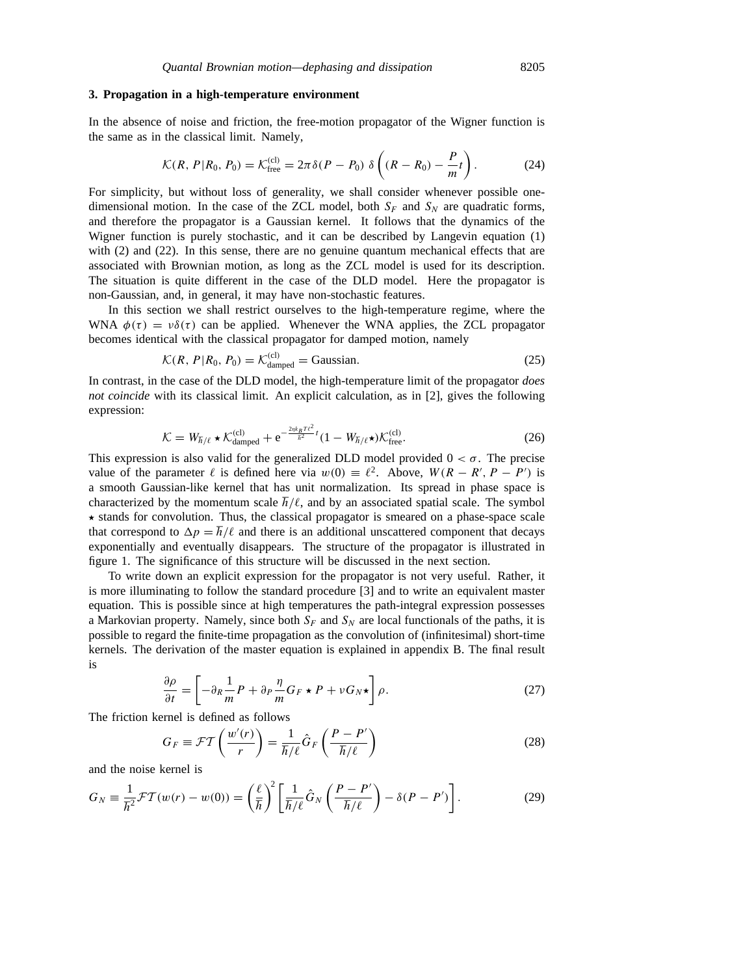# **3. Propagation in a high-temperature environment**

In the absence of noise and friction, the free-motion propagator of the Wigner function is the same as in the classical limit. Namely,

$$
\mathcal{K}(R, P | R_0, P_0) = \mathcal{K}_{\text{free}}^{(\text{cl})} = 2\pi \delta(P - P_0) \delta\left( (R - R_0) - \frac{P}{m} t \right). \tag{24}
$$

For simplicity, but without loss of generality, we shall consider whenever possible onedimensional motion. In the case of the ZCL model, both  $S_F$  and  $S_N$  are quadratic forms, and therefore the propagator is a Gaussian kernel. It follows that the dynamics of the Wigner function is purely stochastic, and it can be described by Langevin equation (1) with (2) and (22). In this sense, there are no genuine quantum mechanical effects that are associated with Brownian motion, as long as the ZCL model is used for its description. The situation is quite different in the case of the DLD model. Here the propagator is non-Gaussian, and, in general, it may have non-stochastic features.

In this section we shall restrict ourselves to the high-temperature regime, where the WNA  $\phi(\tau) = v\delta(\tau)$  can be applied. Whenever the WNA applies, the ZCL propagator becomes identical with the classical propagator for damped motion, namely

$$
\mathcal{K}(R, P | R_0, P_0) = \mathcal{K}_{\text{damped}}^{(\text{cl})} = \text{Gaussian.}
$$
\n(25)

In contrast, in the case of the DLD model, the high-temperature limit of the propagator *does not coincide* with its classical limit. An explicit calculation, as in [2], gives the following expression:

$$
\mathcal{K} = W_{\hbar/\ell} \star \mathcal{K}_{\text{damped}}^{(\text{cl})} + e^{-\frac{2\eta k_B T \ell^2}{\hbar^2}t} (1 - W_{\hbar/\ell} \star) \mathcal{K}_{\text{free}}^{(\text{cl})}.
$$

This expression is also valid for the generalized DLD model provided  $0 < \sigma$ . The precise value of the parameter  $\ell$  is defined here via  $w(0) \equiv \ell^2$ . Above,  $W(R - R', P - P')$  is a smooth Gaussian-like kernel that has unit normalization. Its spread in phase space is characterized by the momentum scale  $\hbar/\ell$ , and by an associated spatial scale. The symbol  $\star$  stands for convolution. Thus, the classical propagator is smeared on a phase-space scale that correspond to  $\Delta p = \hbar/\ell$  and there is an additional unscattered component that decays exponentially and eventually disappears. The structure of the propagator is illustrated in figure 1. The significance of this structure will be discussed in the next section.

To write down an explicit expression for the propagator is not very useful. Rather, it is more illuminating to follow the standard procedure [3] and to write an equivalent master equation. This is possible since at high temperatures the path-integral expression possesses a Markovian property. Namely, since both  $S_F$  and  $S_N$  are local functionals of the paths, it is possible to regard the finite-time propagation as the convolution of (infinitesimal) short-time kernels. The derivation of the master equation is explained in appendix B. The final result is

$$
\frac{\partial \rho}{\partial t} = \left[ -\partial_R \frac{1}{m} P + \partial_P \frac{\eta}{m} G_F \star P + \nu G_N \star \right] \rho. \tag{27}
$$

The friction kernel is defined as follows

$$
G_F \equiv \mathcal{F}T\left(\frac{w'(r)}{r}\right) = \frac{1}{\hbar/\ell}\hat{G}_F\left(\frac{P-P'}{\hbar/\ell}\right)
$$
 (28)

and the noise kernel is

$$
G_N \equiv \frac{1}{\hbar^2} \mathcal{FT}(w(r) - w(0)) = \left(\frac{\ell}{\hbar}\right)^2 \left[\frac{1}{\hbar/\ell} \hat{G}_N \left(\frac{P - P'}{\hbar/\ell}\right) - \delta(P - P')\right].
$$
 (29)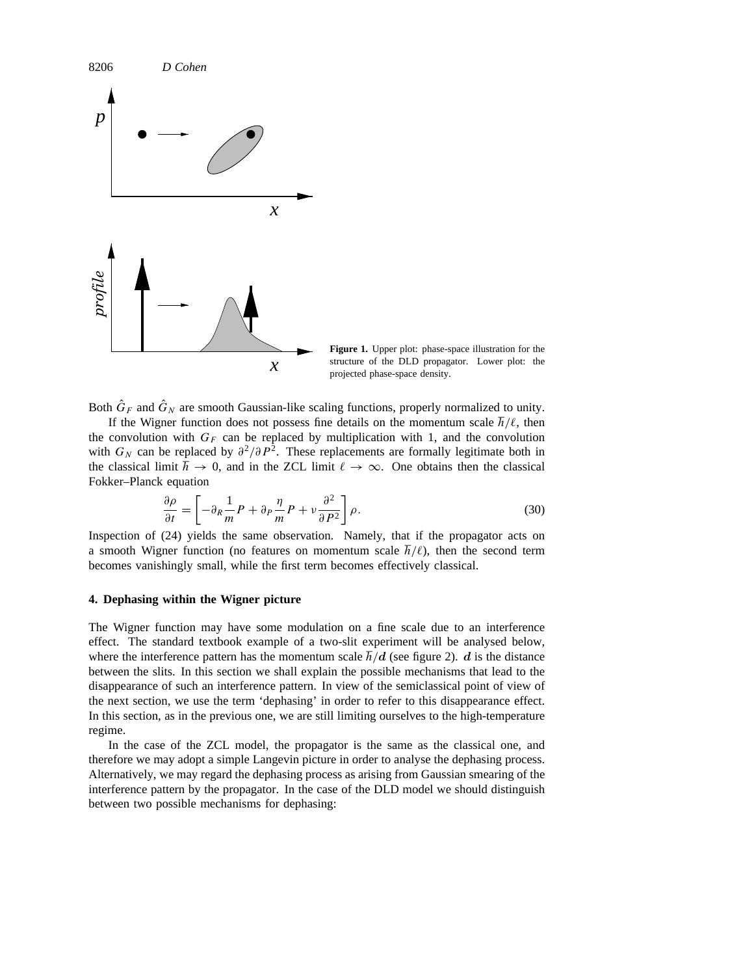

Both  $\hat{G}_F$  and  $\hat{G}_N$  are smooth Gaussian-like scaling functions, properly normalized to unity.

If the Wigner function does not possess fine details on the momentum scale  $\hbar/\ell$ , then the convolution with  $G_F$  can be replaced by multiplication with 1, and the convolution with  $G_N$  can be replaced by  $\partial^2/\partial P^2$ . These replacements are formally legitimate both in the classical limit  $\hbar \to 0$ , and in the ZCL limit  $\ell \to \infty$ . One obtains then the classical Fokker–Planck equation

$$
\frac{\partial \rho}{\partial t} = \left[ -\partial_R \frac{1}{m} P + \partial_P \frac{\eta}{m} P + \nu \frac{\partial^2}{\partial P^2} \right] \rho.
$$
 (30)

Inspection of (24) yields the same observation. Namely, that if the propagator acts on a smooth Wigner function (no features on momentum scale  $\hbar/\ell$ ), then the second term becomes vanishingly small, while the first term becomes effectively classical.

### **4. Dephasing within the Wigner picture**

The Wigner function may have some modulation on a fine scale due to an interference effect. The standard textbook example of a two-slit experiment will be analysed below, where the interference pattern has the momentum scale  $\hbar/d$  (see figure 2). *d* is the distance between the slits. In this section we shall explain the possible mechanisms that lead to the disappearance of such an interference pattern. In view of the semiclassical point of view of the next section, we use the term 'dephasing' in order to refer to this disappearance effect. In this section, as in the previous one, we are still limiting ourselves to the high-temperature regime.

In the case of the ZCL model, the propagator is the same as the classical one, and therefore we may adopt a simple Langevin picture in order to analyse the dephasing process. Alternatively, we may regard the dephasing process as arising from Gaussian smearing of the interference pattern by the propagator. In the case of the DLD model we should distinguish between two possible mechanisms for dephasing: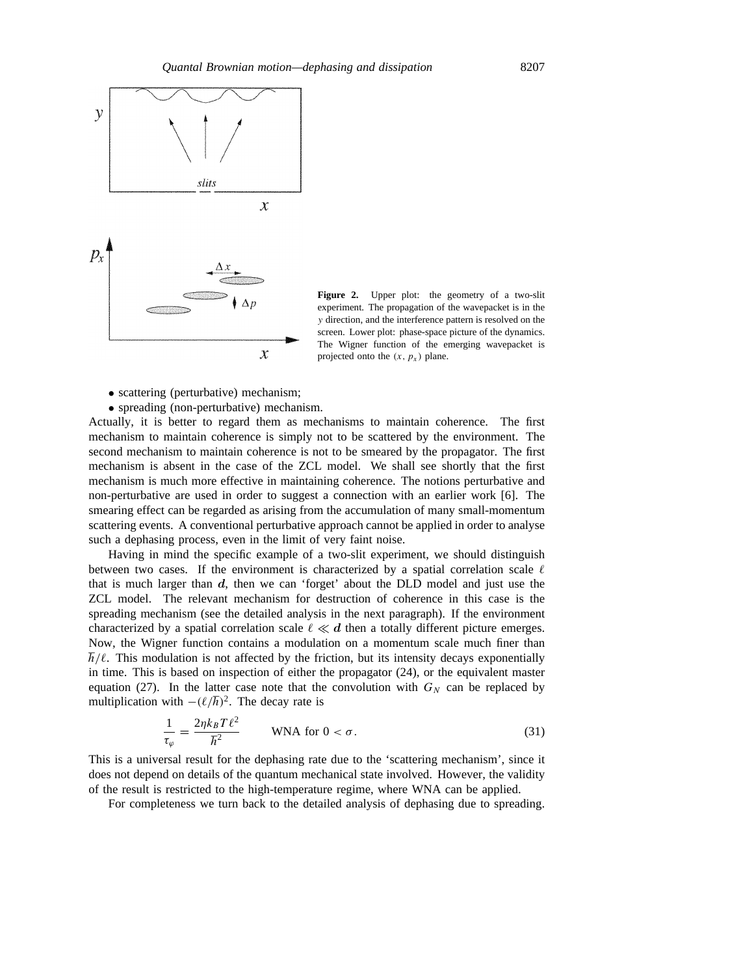

Figure 2. Upper plot: the geometry of a two-slit experiment. The propagation of the wavepacket is in the *y* direction, and the interference pattern is resolved on the screen. Lower plot: phase-space picture of the dynamics. The Wigner function of the emerging wavepacket is projected onto the  $(x, p_x)$  plane.

- scattering (perturbative) mechanism;
- spreading (non-perturbative) mechanism.

Actually, it is better to regard them as mechanisms to maintain coherence. The first mechanism to maintain coherence is simply not to be scattered by the environment. The second mechanism to maintain coherence is not to be smeared by the propagator. The first mechanism is absent in the case of the ZCL model. We shall see shortly that the first mechanism is much more effective in maintaining coherence. The notions perturbative and non-perturbative are used in order to suggest a connection with an earlier work [6]. The smearing effect can be regarded as arising from the accumulation of many small-momentum scattering events. A conventional perturbative approach cannot be applied in order to analyse such a dephasing process, even in the limit of very faint noise.

Having in mind the specific example of a two-slit experiment, we should distinguish between two cases. If the environment is characterized by a spatial correlation scale  $\ell$ that is much larger than *d*, then we can 'forget' about the DLD model and just use the ZCL model. The relevant mechanism for destruction of coherence in this case is the spreading mechanism (see the detailed analysis in the next paragraph). If the environment characterized by a spatial correlation scale  $\ell \ll d$  then a totally different picture emerges. Now, the Wigner function contains a modulation on a momentum scale much finer than  $h/\ell$ . This modulation is not affected by the friction, but its intensity decays exponentially in time. This is based on inspection of either the propagator (24), or the equivalent master equation (27). In the latter case note that the convolution with  $G_N$  can be replaced by multiplication with  $-(\ell/\hbar)^2$ . The decay rate is

$$
\frac{1}{\tau_{\varphi}} = \frac{2\eta k_B T \ell^2}{\hbar^2} \qquad \text{WNA for } 0 < \sigma. \tag{31}
$$

This is a universal result for the dephasing rate due to the 'scattering mechanism', since it does not depend on details of the quantum mechanical state involved. However, the validity of the result is restricted to the high-temperature regime, where WNA can be applied.

For completeness we turn back to the detailed analysis of dephasing due to spreading.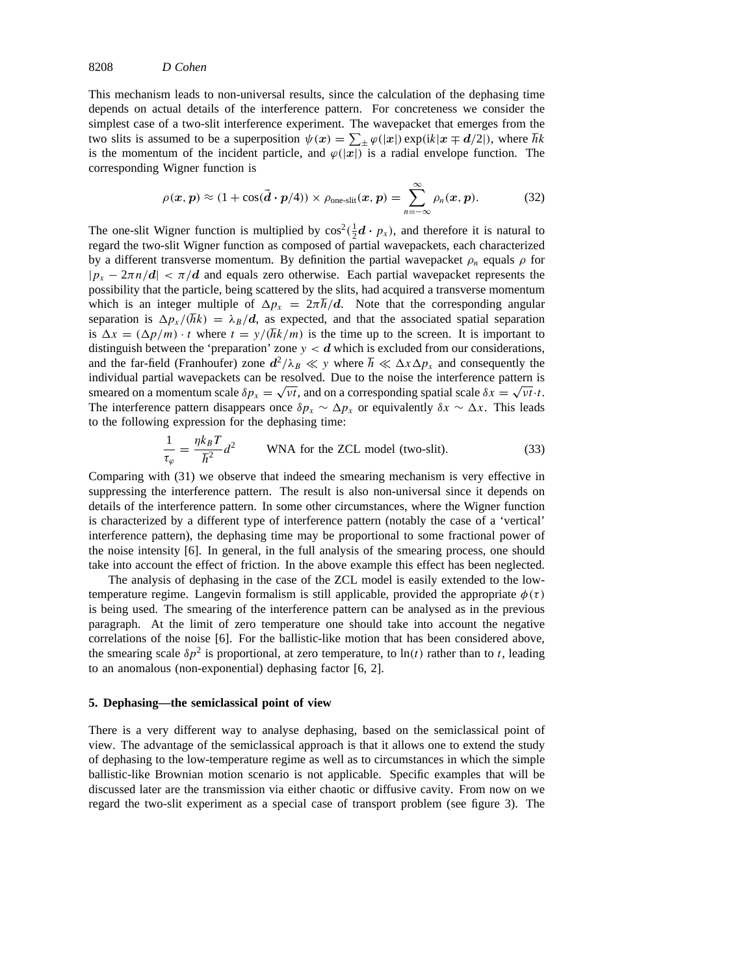8208 *D Cohen*

This mechanism leads to non-universal results, since the calculation of the dephasing time depends on actual details of the interference pattern. For concreteness we consider the simplest case of a two-slit interference experiment. The wavepacket that emerges from the two slits is assumed to be a superposition  $\psi(x) = \sum_{\pm} \varphi(|x|) \exp(ik|x \mp d/2|)$ , where  $\hbar k$ is the momentum of the incident particle, and  $\varphi(|x|)$  is a radial envelope function. The corresponding Wigner function is

$$
\rho(\boldsymbol{x},\boldsymbol{p}) \approx (1+\cos(\vec{\boldsymbol{d}}\cdot\boldsymbol{p}/4)) \times \rho_{\text{one-slit}}(\boldsymbol{x},\boldsymbol{p}) = \sum_{n=-\infty}^{\infty} \rho_n(\boldsymbol{x},\boldsymbol{p}). \tag{32}
$$

The one-slit Wigner function is multiplied by  $\cos^2(\frac{1}{2}d \cdot p_x)$ , and therefore it is natural to regard the two-slit Wigner function as composed of partial wavepackets, each characterized by a different transverse momentum. By definition the partial wavepacket  $\rho_n$  equals  $\rho$  for  $|p_x - 2\pi n/d| < \pi/d$  and equals zero otherwise. Each partial wavepacket represents the possibility that the particle, being scattered by the slits, had acquired a transverse momentum which is an integer multiple of  $\Delta p_x = 2\pi \hbar/d$ . Note that the corresponding angular separation is  $\Delta p_x / (\hbar k) = \lambda_B / d$ , as expected, and that the associated spatial separation is  $\Delta x = (\Delta p/m) \cdot t$  where  $t = y/(\hbar k/m)$  is the time up to the screen. It is important to distinguish between the 'preparation' zone  $y < d$  which is excluded from our considerations, and the far-field (Franhoufer) zone  $d^2/\lambda_B \ll y$  where  $\hbar \ll \Delta x \Delta p_x$  and consequently the individual partial wavepackets can be resolved. Due to the noise the interference pattern is smeared on a momentum scale  $\delta p_x = \sqrt{vt}$ , and on a corresponding spatial scale  $\delta x = \sqrt{vt} \cdot t$ . The interference pattern disappears once  $\delta p_x \sim \Delta p_x$  or equivalently  $\delta x \sim \Delta x$ . This leads to the following expression for the dephasing time:

$$
\frac{1}{\tau_{\varphi}} = \frac{\eta k_B T}{\hbar^2} d^2
$$
   WNA for the ZCL model (two-slit).   (33)

Comparing with (31) we observe that indeed the smearing mechanism is very effective in suppressing the interference pattern. The result is also non-universal since it depends on details of the interference pattern. In some other circumstances, where the Wigner function is characterized by a different type of interference pattern (notably the case of a 'vertical' interference pattern), the dephasing time may be proportional to some fractional power of the noise intensity [6]. In general, in the full analysis of the smearing process, one should take into account the effect of friction. In the above example this effect has been neglected.

The analysis of dephasing in the case of the ZCL model is easily extended to the lowtemperature regime. Langevin formalism is still applicable, provided the appropriate  $\phi(\tau)$ is being used. The smearing of the interference pattern can be analysed as in the previous paragraph. At the limit of zero temperature one should take into account the negative correlations of the noise [6]. For the ballistic-like motion that has been considered above, the smearing scale  $\delta p^2$  is proportional, at zero temperature, to  $\ln(t)$  rather than to *t*, leading to an anomalous (non-exponential) dephasing factor [6, 2].

### **5. Dephasing—the semiclassical point of view**

There is a very different way to analyse dephasing, based on the semiclassical point of view. The advantage of the semiclassical approach is that it allows one to extend the study of dephasing to the low-temperature regime as well as to circumstances in which the simple ballistic-like Brownian motion scenario is not applicable. Specific examples that will be discussed later are the transmission via either chaotic or diffusive cavity. From now on we regard the two-slit experiment as a special case of transport problem (see figure 3). The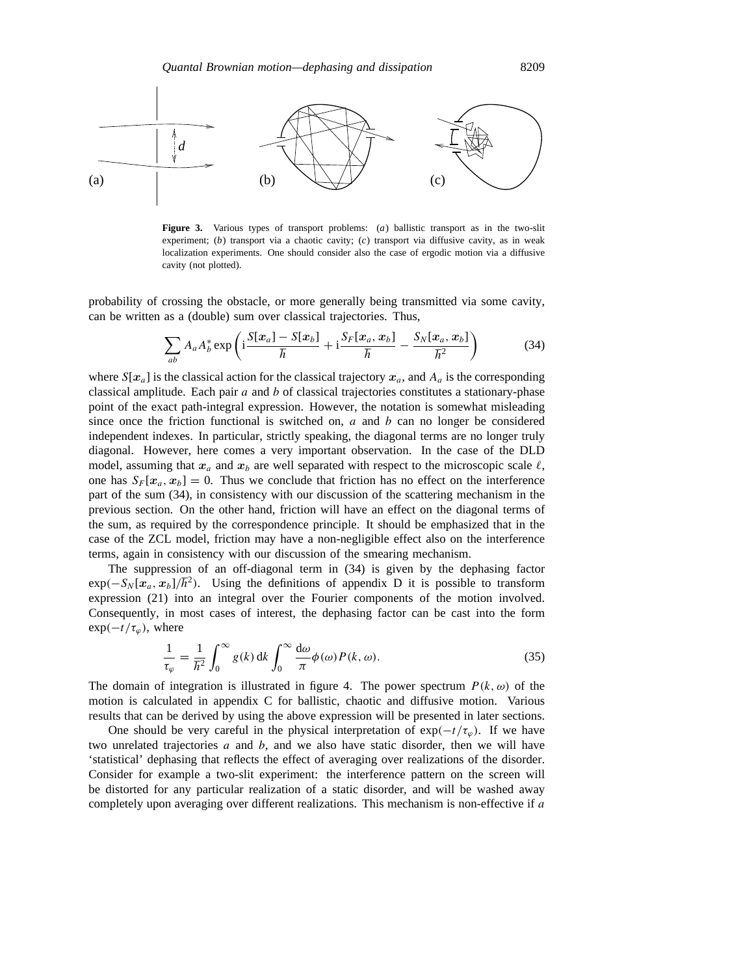

**Figure 3.** Various types of transport problems: (*a*) ballistic transport as in the two-slit experiment; (*b*) transport via a chaotic cavity; (*c*) transport via diffusive cavity, as in weak localization experiments. One should consider also the case of ergodic motion via a diffusive cavity (not plotted).

probability of crossing the obstacle, or more generally being transmitted via some cavity, can be written as a (double) sum over classical trajectories. Thus,

$$
\sum_{ab} A_a A_b^* \exp\left(i\frac{S[x_a] - S[x_b]}{\hbar} + i\frac{S_F[x_a, x_b]}{\hbar} - \frac{S_N[x_a, x_b]}{\hbar^2}\right)
$$
(34)

where  $S[x_a]$  is the classical action for the classical trajectory  $x_a$ , and  $A_a$  is the corresponding classical amplitude. Each pair *a* and *b* of classical trajectories constitutes a stationary-phase point of the exact path-integral expression. However, the notation is somewhat misleading since once the friction functional is switched on,  $a$  and  $b$  can no longer be considered independent indexes. In particular, strictly speaking, the diagonal terms are no longer truly diagonal. However, here comes a very important observation. In the case of the DLD model, assuming that  $x_a$  and  $x_b$  are well separated with respect to the microscopic scale  $\ell$ , one has  $S_F[x_a, x_b] = 0$ . Thus we conclude that friction has no effect on the interference part of the sum (34), in consistency with our discussion of the scattering mechanism in the previous section. On the other hand, friction will have an effect on the diagonal terms of the sum, as required by the correspondence principle. It should be emphasized that in the case of the ZCL model, friction may have a non-negligible effect also on the interference terms, again in consistency with our discussion of the smearing mechanism.

The suppression of an off-diagonal term in (34) is given by the dephasing factor  $\exp(-S_N[x_a, x_b]/\hbar^2)$ . Using the definitions of appendix D it is possible to transform expression (21) into an integral over the Fourier components of the motion involved. Consequently, in most cases of interest, the dephasing factor can be cast into the form  $\exp(-t/\tau_{\varphi})$ , where

$$
\frac{1}{\tau_{\varphi}} = \frac{1}{\hbar^2} \int_0^{\infty} g(k) \, dk \int_0^{\infty} \frac{d\omega}{\pi} \phi(\omega) P(k, \omega). \tag{35}
$$

The domain of integration is illustrated in figure 4. The power spectrum  $P(k, \omega)$  of the motion is calculated in appendix C for ballistic, chaotic and diffusive motion. Various results that can be derived by using the above expression will be presented in later sections.

One should be very careful in the physical interpretation of  $exp(-t/\tau_{\varphi})$ . If we have two unrelated trajectories *a* and *b*, and we also have static disorder, then we will have 'statistical' dephasing that reflects the effect of averaging over realizations of the disorder. Consider for example a two-slit experiment: the interference pattern on the screen will be distorted for any particular realization of a static disorder, and will be washed away completely upon averaging over different realizations. This mechanism is non-effective if *a*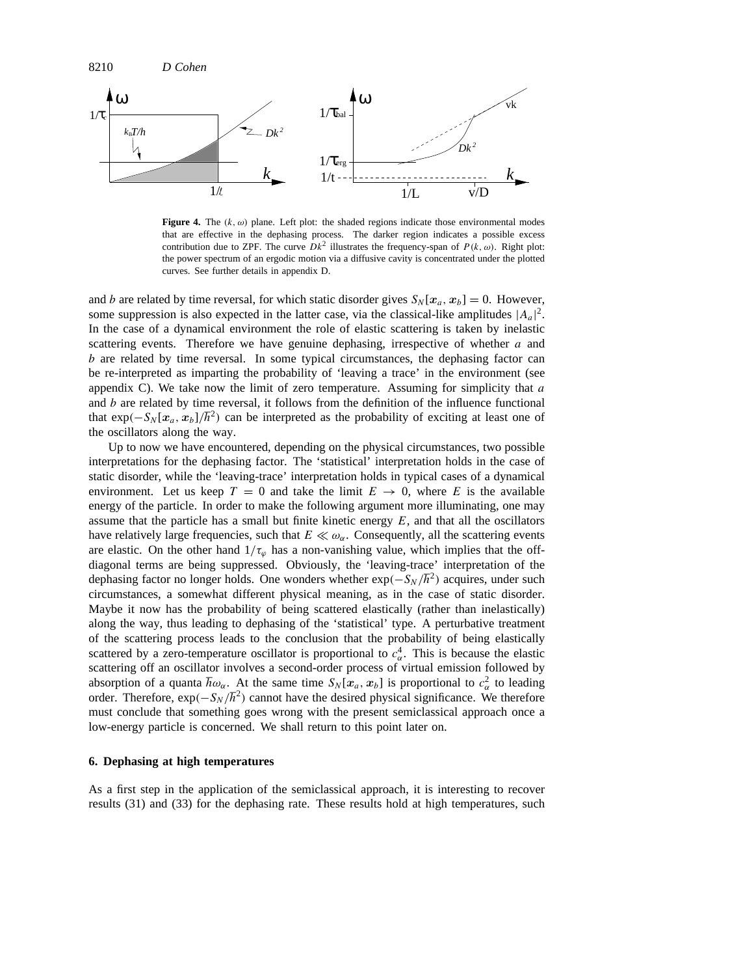

**Figure 4.** The  $(k, \omega)$  plane. Left plot: the shaded regions indicate those environmental modes that are effective in the dephasing process. The darker region indicates a possible excess contribution due to ZPF. The curve  $Dk^2$  illustrates the frequency-span of  $P(k, \omega)$ . Right plot: the power spectrum of an ergodic motion via a diffusive cavity is concentrated under the plotted curves. See further details in appendix D.

and *b* are related by time reversal, for which static disorder gives  $S_N[x_a, x_b] = 0$ . However, some suppression is also expected in the latter case, via the classical-like amplitudes  $|A_a|^2$ . In the case of a dynamical environment the role of elastic scattering is taken by inelastic scattering events. Therefore we have genuine dephasing, irrespective of whether *a* and *b* are related by time reversal. In some typical circumstances, the dephasing factor can be re-interpreted as imparting the probability of 'leaving a trace' in the environment (see appendix C). We take now the limit of zero temperature. Assuming for simplicity that *a* and *b* are related by time reversal, it follows from the definition of the influence functional that  $\exp(-S_N[x_a, x_b]/\hbar^2)$  can be interpreted as the probability of exciting at least one of the oscillators along the way.

Up to now we have encountered, depending on the physical circumstances, two possible interpretations for the dephasing factor. The 'statistical' interpretation holds in the case of static disorder, while the 'leaving-trace' interpretation holds in typical cases of a dynamical environment. Let us keep  $T = 0$  and take the limit  $E \rightarrow 0$ , where *E* is the available energy of the particle. In order to make the following argument more illuminating, one may assume that the particle has a small but finite kinetic energy *E*, and that all the oscillators have relatively large frequencies, such that  $E \ll \omega_{\alpha}$ . Consequently, all the scattering events are elastic. On the other hand  $1/\tau_{\varphi}$  has a non-vanishing value, which implies that the offdiagonal terms are being suppressed. Obviously, the 'leaving-trace' interpretation of the dephasing factor no longer holds. One wonders whether  $\exp(-S_N/\hbar^2)$  acquires, under such circumstances, a somewhat different physical meaning, as in the case of static disorder. Maybe it now has the probability of being scattered elastically (rather than inelastically) along the way, thus leading to dephasing of the 'statistical' type. A perturbative treatment of the scattering process leads to the conclusion that the probability of being elastically scattered by a zero-temperature oscillator is proportional to  $c_{\alpha}^4$ . This is because the elastic scattering off an oscillator involves a second-order process of virtual emission followed by absorption of a quanta  $\hbar \omega_\alpha$ . At the same time  $S_N[x_\alpha, x_\beta]$  is proportional to  $c_\alpha^2$  to leading order. Therefore,  $\exp(-S_N/\hbar^2)$  cannot have the desired physical significance. We therefore must conclude that something goes wrong with the present semiclassical approach once a low-energy particle is concerned. We shall return to this point later on.

# **6. Dephasing at high temperatures**

As a first step in the application of the semiclassical approach, it is interesting to recover results (31) and (33) for the dephasing rate. These results hold at high temperatures, such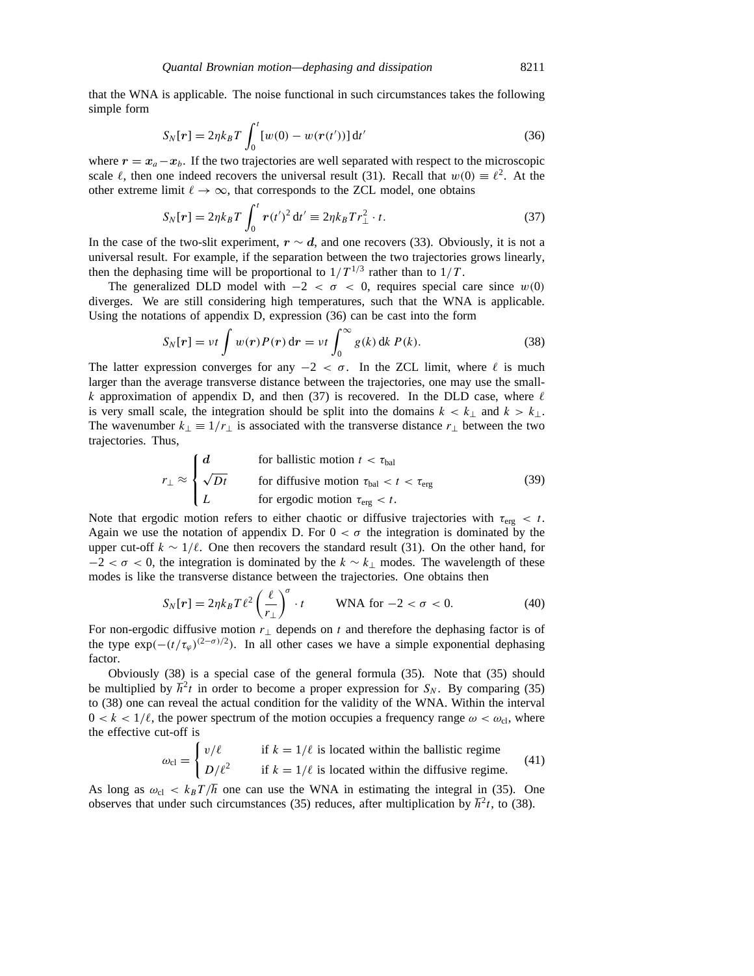that the WNA is applicable. The noise functional in such circumstances takes the following simple form

$$
S_N[r] = 2\eta k_B T \int_0^t [w(0) - w(r(t'))] dt'
$$
\n(36)

where  $r = x_a - x_b$ . If the two trajectories are well separated with respect to the microscopic scale  $\ell$ , then one indeed recovers the universal result (31). Recall that  $w(0) \equiv \ell^2$ . At the other extreme limit  $\ell \to \infty$ , that corresponds to the ZCL model, one obtains

$$
S_N[r] = 2\eta k_B T \int_0^t r(t')^2 dt' \equiv 2\eta k_B T r_\perp^2 \cdot t. \tag{37}
$$

In the case of the two-slit experiment,  $r \sim d$ , and one recovers (33). Obviously, it is not a universal result. For example, if the separation between the two trajectories grows linearly, then the dephasing time will be proportional to  $1/T^{1/3}$  rather than to  $1/T$ .

The generalized DLD model with  $-2 < \sigma < 0$ , requires special care since  $w(0)$ diverges. We are still considering high temperatures, such that the WNA is applicable. Using the notations of appendix D, expression (36) can be cast into the form

$$
S_N[r] = vt \int w(r)P(r) dr = vt \int_0^\infty g(k) dk P(k).
$$
 (38)

The latter expression converges for any  $-2 < \sigma$ . In the ZCL limit, where  $\ell$  is much larger than the average transverse distance between the trajectories, one may use the small*k* approximation of appendix D, and then (37) is recovered. In the DLD case, where  $\ell$ is very small scale, the integration should be split into the domains  $k < k_{\perp}$  and  $k > k_{\perp}$ . The wavenumber  $k_{\perp} \equiv 1/r_{\perp}$  is associated with the transverse distance  $r_{\perp}$  between the two trajectories. Thus,

$$
r_{\perp} \approx \begin{cases} d & \text{for ballistic motion } t < \tau_{\text{bal}} \\ \sqrt{Dt} & \text{for diffusive motion } \tau_{\text{bal}} < t < \tau_{\text{erg}} \\ L & \text{for ergodic motion } \tau_{\text{erg}} < t. \end{cases} \tag{39}
$$

Note that ergodic motion refers to either chaotic or diffusive trajectories with *τ*erg *< t*. Again we use the notation of appendix D. For  $0 < \sigma$  the integration is dominated by the upper cut-off  $k \sim 1/\ell$ . One then recovers the standard result (31). On the other hand, for  $-2 < \sigma < 0$ , the integration is dominated by the  $k \sim k_{\perp}$  modes. The wavelength of these modes is like the transverse distance between the trajectories. One obtains then

$$
S_N[r] = 2\eta k_B T \ell^2 \left(\frac{\ell}{r_\perp}\right)^\sigma \cdot t \qquad \text{WNA for } -2 < \sigma < 0. \tag{40}
$$

For non-ergodic diffusive motion *r*<sup>⊥</sup> depends on *t* and therefore the dephasing factor is of the type  $\exp(-(t/\tau_{\varphi})^{(2-\sigma)/2})$ . In all other cases we have a simple exponential dephasing factor.

Obviously (38) is a special case of the general formula (35). Note that (35) should be multiplied by  $\hbar^2 t$  in order to become a proper expression for  $S_N$ . By comparing (35) to (38) one can reveal the actual condition for the validity of the WNA. Within the interval  $0 < k < 1/\ell$ , the power spectrum of the motion occupies a frequency range  $\omega < \omega_{\text{cl}}$ , where the effective cut-off is

$$
\omega_{\text{cl}} = \begin{cases} v/\ell & \text{if } k = 1/\ell \text{ is located within the ballistic regime} \\ D/\ell^2 & \text{if } k = 1/\ell \text{ is located within the diffusive regime.} \end{cases} \tag{41}
$$

As long as  $\omega_{\rm cl} < k_B T / \hbar$  one can use the WNA in estimating the integral in (35). One observes that under such circumstances (35) reduces, after multiplication by  $\hbar^2 t$ , to (38).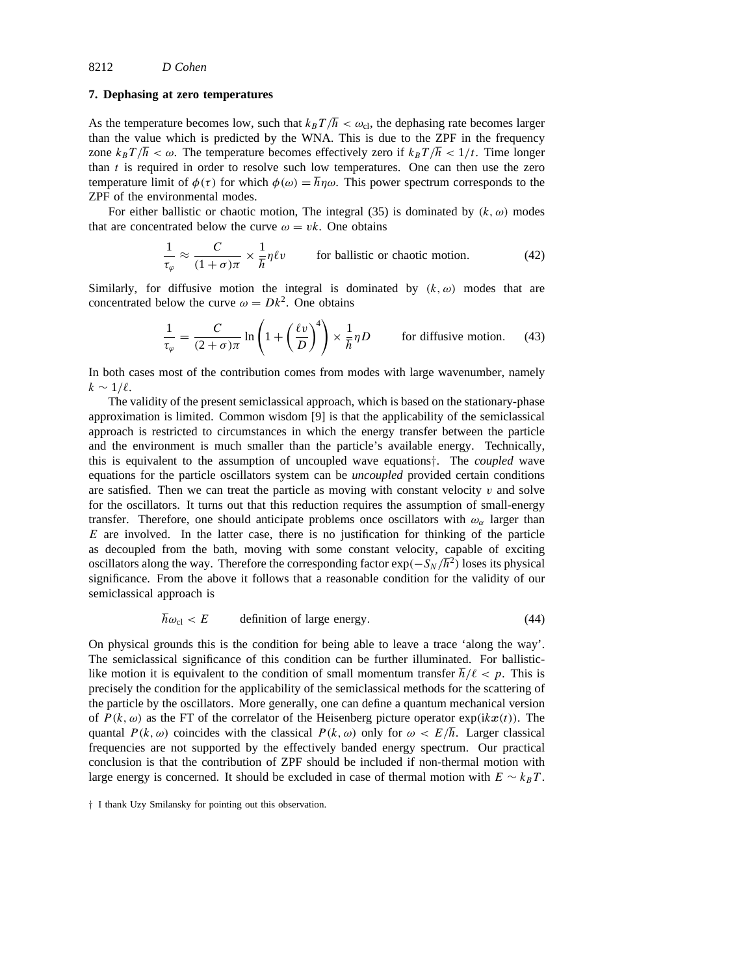### **7. Dephasing at zero temperatures**

As the temperature becomes low, such that  $k_B T / \hbar < \omega_{\rm cl}$ , the dephasing rate becomes larger than the value which is predicted by the WNA. This is due to the ZPF in the frequency zone  $k_B T / \hbar < \omega$ . The temperature becomes effectively zero if  $k_B T / \hbar < 1/t$ . Time longer than *t* is required in order to resolve such low temperatures. One can then use the zero temperature limit of  $\phi(\tau)$  for which  $\phi(\omega) = \hbar \eta \omega$ . This power spectrum corresponds to the ZPF of the environmental modes.

For either ballistic or chaotic motion, The integral (35) is dominated by *(k, ω)* modes that are concentrated below the curve  $\omega = v k$ . One obtains

$$
\frac{1}{\tau_{\varphi}} \approx \frac{C}{(1+\sigma)\pi} \times \frac{1}{\hbar} \eta \ell v
$$
 for ballistic or chaotic motion. (42)

Similarly, for diffusive motion the integral is dominated by  $(k, \omega)$  modes that are concentrated below the curve  $\omega = Dk^2$ . One obtains

$$
\frac{1}{\tau_{\varphi}} = \frac{C}{(2+\sigma)\pi} \ln\left(1 + \left(\frac{\ell v}{D}\right)^4\right) \times \frac{1}{\hbar}\eta D \qquad \text{for diffusive motion.} \tag{43}
$$

In both cases most of the contribution comes from modes with large wavenumber, namely  $k \sim 1/\ell$ .

The validity of the present semiclassical approach, which is based on the stationary-phase approximation is limited. Common wisdom [9] is that the applicability of the semiclassical approach is restricted to circumstances in which the energy transfer between the particle and the environment is much smaller than the particle's available energy. Technically, this is equivalent to the assumption of uncoupled wave equations*†*. The *coupled* wave equations for the particle oscillators system can be *uncoupled* provided certain conditions are satisfied. Then we can treat the particle as moving with constant velocity  $v$  and solve for the oscillators. It turns out that this reduction requires the assumption of small-energy transfer. Therefore, one should anticipate problems once oscillators with  $\omega_{\alpha}$  larger than *E* are involved. In the latter case, there is no justification for thinking of the particle as decoupled from the bath, moving with some constant velocity, capable of exciting oscillators along the way. Therefore the corresponding factor  $\exp(-S_N/\hbar^2)$  loses its physical significance. From the above it follows that a reasonable condition for the validity of our semiclassical approach is

$$
\hbar\omega_{\rm cl} < E \qquad \text{definition of large energy.} \tag{44}
$$

On physical grounds this is the condition for being able to leave a trace 'along the way'. The semiclassical significance of this condition can be further illuminated. For ballisticlike motion it is equivalent to the condition of small momentum transfer  $\hbar/\ell < p$ . This is precisely the condition for the applicability of the semiclassical methods for the scattering of the particle by the oscillators. More generally, one can define a quantum mechanical version of  $P(k, \omega)$  as the FT of the correlator of the Heisenberg picture operator  $exp(ikx(t))$ . The quantal  $P(k, \omega)$  coincides with the classical  $P(k, \omega)$  only for  $\omega < E/\hbar$ . Larger classical frequencies are not supported by the effectively banded energy spectrum. Our practical conclusion is that the contribution of ZPF should be included if non-thermal motion with large energy is concerned. It should be excluded in case of thermal motion with  $E \sim k_B T$ .

*<sup>†</sup>* I thank Uzy Smilansky for pointing out this observation.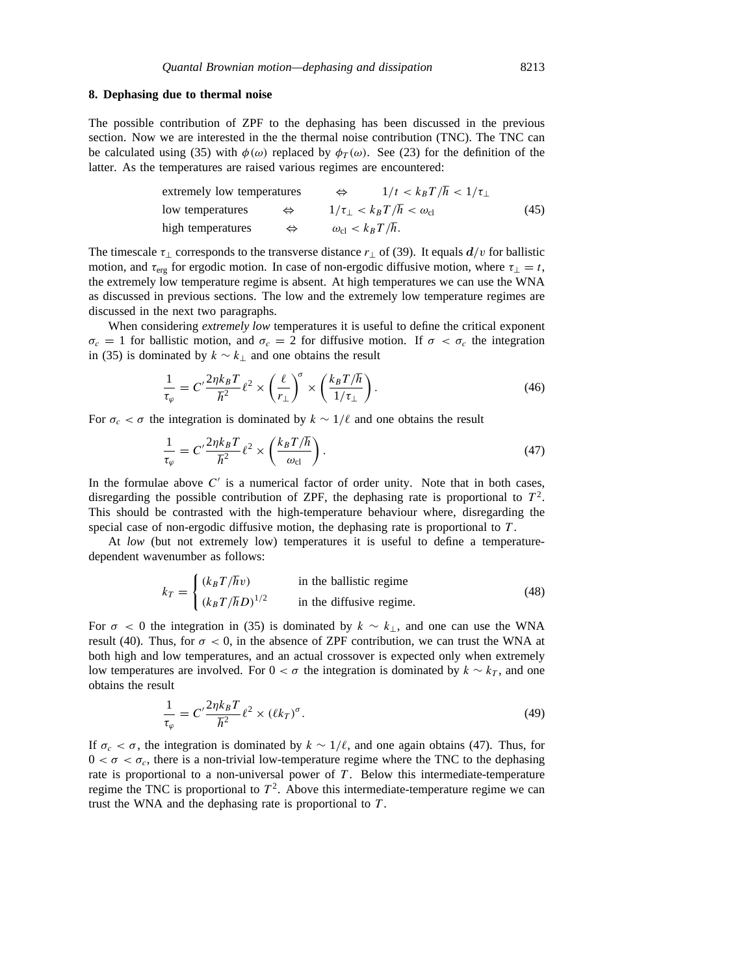### **8. Dephasing due to thermal noise**

The possible contribution of ZPF to the dephasing has been discussed in the previous section. Now we are interested in the the thermal noise contribution (TNC). The TNC can be calculated using (35) with  $\phi(\omega)$  replaced by  $\phi_T(\omega)$ . See (23) for the definition of the latter. As the temperatures are raised various regimes are encountered:

extremely low temperatures

\n
$$
\Leftrightarrow \qquad \frac{1}{t} < k_B T/\hbar < \frac{1}{\tau_{\perp}}
$$
\nlow temperatures

\n
$$
\Leftrightarrow \qquad \frac{1}{\tau_{\perp}} < k_B T/\hbar < \omega_{\text{cl}} \qquad (45)
$$
\nhigh temperatures

\n
$$
\Leftrightarrow \qquad \omega_{\text{cl}} < k_B T/\hbar.
$$

The timescale  $\tau_{\perp}$  corresponds to the transverse distance  $r_{\perp}$  of (39). It equals  $d/v$  for ballistic motion, and  $\tau_{\text{erg}}$  for ergodic motion. In case of non-ergodic diffusive motion, where  $\tau_{\perp} = t$ , the extremely low temperature regime is absent. At high temperatures we can use the WNA as discussed in previous sections. The low and the extremely low temperature regimes are discussed in the next two paragraphs.

When considering *extremely low* temperatures it is useful to define the critical exponent  $\sigma_c = 1$  for ballistic motion, and  $\sigma_c = 2$  for diffusive motion. If  $\sigma < \sigma_c$  the integration in (35) is dominated by *k* ∼ *k*<sup>⊥</sup> and one obtains the result

$$
\frac{1}{\tau_{\varphi}} = C' \frac{2\eta k_B T}{\hbar^2} \ell^2 \times \left(\frac{\ell}{r_{\perp}}\right)^{\sigma} \times \left(\frac{k_B T/\hbar}{1/\tau_{\perp}}\right). \tag{46}
$$

For  $\sigma_c < \sigma$  the integration is dominated by  $k \sim 1/\ell$  and one obtains the result

$$
\frac{1}{\tau_{\varphi}} = C' \frac{2\eta k_B T}{\hbar^2} \ell^2 \times \left(\frac{k_B T/\hbar}{\omega_{\rm cl}}\right). \tag{47}
$$

In the formulae above  $C<sup>'</sup>$  is a numerical factor of order unity. Note that in both cases, disregarding the possible contribution of ZPF, the dephasing rate is proportional to  $T<sup>2</sup>$ . This should be contrasted with the high-temperature behaviour where, disregarding the special case of non-ergodic diffusive motion, the dephasing rate is proportional to *T* .

At *low* (but not extremely low) temperatures it is useful to define a temperaturedependent wavenumber as follows:

$$
k_T = \begin{cases} (k_B T / \hbar v) & \text{in the ballistic regime} \\ (k_B T / \hbar D)^{1/2} & \text{in the diffusive regime.} \end{cases}
$$
 (48)

For  $\sigma$  < 0 the integration in (35) is dominated by  $k \sim k_{\perp}$ , and one can use the WNA result (40). Thus, for  $\sigma < 0$ , in the absence of ZPF contribution, we can trust the WNA at both high and low temperatures, and an actual crossover is expected only when extremely low temperatures are involved. For  $0 < \sigma$  the integration is dominated by  $k \sim k_T$ , and one obtains the result

$$
\frac{1}{\tau_{\varphi}} = C' \frac{2\eta k_B T}{\hbar^2} \ell^2 \times (\ell k_T)^{\sigma}.
$$
\n(49)

If  $\sigma_c < \sigma$ , the integration is dominated by  $k \sim 1/\ell$ , and one again obtains (47). Thus, for  $0 < \sigma < \sigma_c$ , there is a non-trivial low-temperature regime where the TNC to the dephasing rate is proportional to a non-universal power of *T* . Below this intermediate-temperature regime the TNC is proportional to  $T^2$ . Above this intermediate-temperature regime we can trust the WNA and the dephasing rate is proportional to *T* .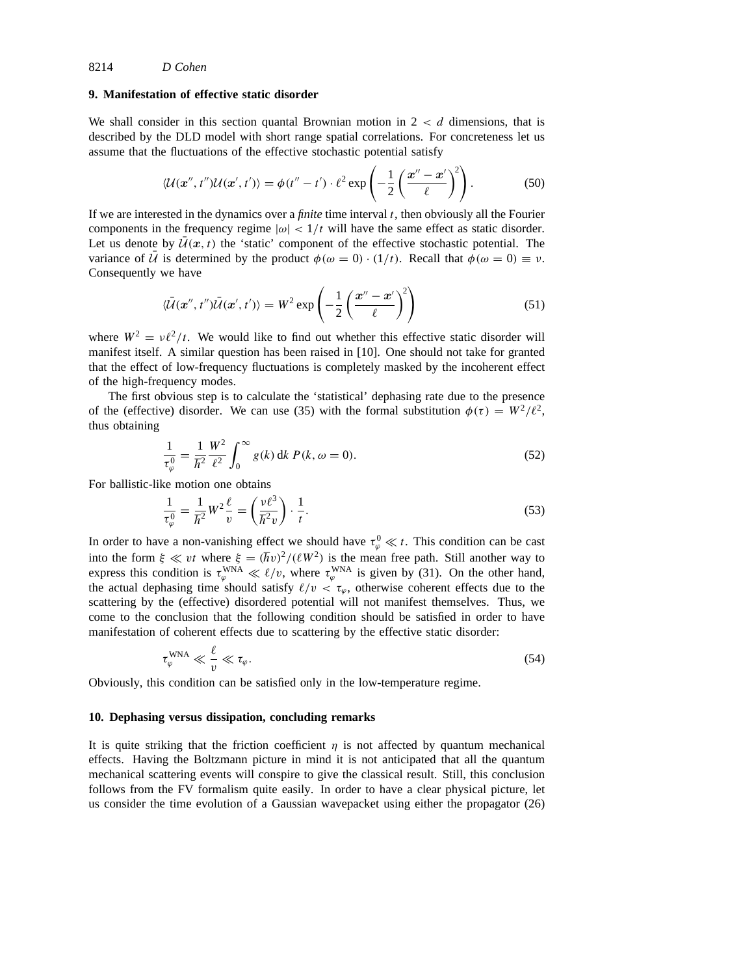# **9. Manifestation of effective static disorder**

We shall consider in this section quantal Brownian motion in 2 *< d* dimensions, that is described by the DLD model with short range spatial correlations. For concreteness let us assume that the fluctuations of the effective stochastic potential satisfy

$$
\langle \mathcal{U}(\mathbf{x}'',t'')\mathcal{U}(\mathbf{x}',t')\rangle = \phi(t''-t')\cdot \ell^2 \exp\left(-\frac{1}{2}\left(\frac{\mathbf{x}''-\mathbf{x}'}{\ell}\right)^2\right). \tag{50}
$$

If we are interested in the dynamics over a *finite* time interval *t*, then obviously all the Fourier components in the frequency regime  $|\omega|$  <  $1/t$  will have the same effect as static disorder. Let us denote by  $\mathcal{U}(x, t)$  the 'static' component of the effective stochastic potential. The variance of  $\bar{U}$  is determined by the product  $\phi(\omega = 0) \cdot (1/t)$ . Recall that  $\phi(\omega = 0) \equiv \nu$ . Consequently we have

$$
\langle \bar{\mathcal{U}}(\mathbf{x}'',t'')\bar{\mathcal{U}}(\mathbf{x}',t')\rangle = W^2 \exp\left(-\frac{1}{2}\left(\frac{\mathbf{x}''-\mathbf{x}'}{\ell}\right)^2\right) \tag{51}
$$

where  $W^2 = v\ell^2/t$ . We would like to find out whether this effective static disorder will manifest itself. A similar question has been raised in [10]. One should not take for granted that the effect of low-frequency fluctuations is completely masked by the incoherent effect of the high-frequency modes.

The first obvious step is to calculate the 'statistical' dephasing rate due to the presence of the (effective) disorder. We can use (35) with the formal substitution  $\phi(\tau) = W^2/\ell^2$ , thus obtaining

$$
\frac{1}{\tau_{\varphi}^{0}} = \frac{1}{\hbar^{2}} \frac{W^{2}}{\ell^{2}} \int_{0}^{\infty} g(k) \, dk \, P(k, \omega = 0). \tag{52}
$$

For ballistic-like motion one obtains

$$
\frac{1}{\tau_{\varphi}^0} = \frac{1}{\hbar^2} W^2 \frac{\ell}{v} = \left(\frac{v\ell^3}{\hbar^2 v}\right) \cdot \frac{1}{t}.
$$
\n
$$
(53)
$$

In order to have a non-vanishing effect we should have  $\tau_{\varphi}^0 \ll t$ . This condition can be cast into the form  $\xi \ll vt$  where  $\xi = (\hbar v)^2/(\ell W^2)$  is the mean free path. Still another way to express this condition is  $\tau_{\varphi}^{WNA} \ll \ell/v$ , where  $\tau_{\varphi}^{WNA}$  is given by (31). On the other hand, the actual dephasing time should satisfy  $\ell/v < \tau_{\varphi}$ , otherwise coherent effects due to the scattering by the (effective) disordered potential will not manifest themselves. Thus, we come to the conclusion that the following condition should be satisfied in order to have manifestation of coherent effects due to scattering by the effective static disorder:

$$
\tau_{\varphi}^{\text{WNA}} \ll \frac{\ell}{v} \ll \tau_{\varphi}.\tag{54}
$$

Obviously, this condition can be satisfied only in the low-temperature regime.

### **10. Dephasing versus dissipation, concluding remarks**

It is quite striking that the friction coefficient  $\eta$  is not affected by quantum mechanical effects. Having the Boltzmann picture in mind it is not anticipated that all the quantum mechanical scattering events will conspire to give the classical result. Still, this conclusion follows from the FV formalism quite easily. In order to have a clear physical picture, let us consider the time evolution of a Gaussian wavepacket using either the propagator (26)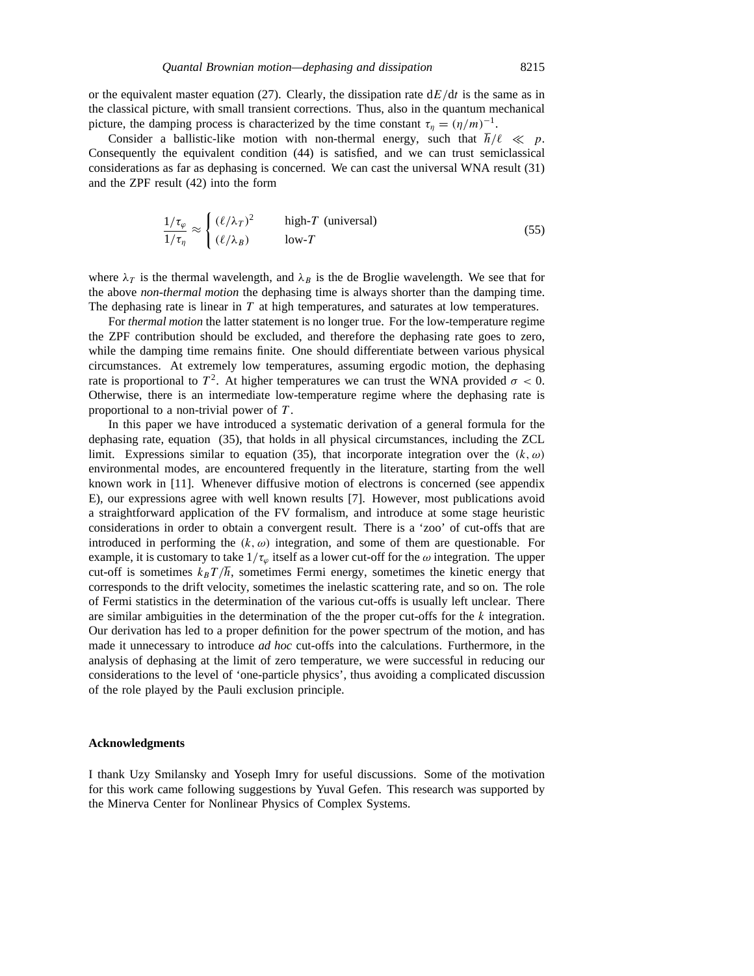or the equivalent master equation (27). Clearly, the dissipation rate  $dE/dt$  is the same as in the classical picture, with small transient corrections. Thus, also in the quantum mechanical picture, the damping process is characterized by the time constant  $\tau_n = (\eta/m)^{-1}$ .

Consider a ballistic-like motion with non-thermal energy, such that  $\hbar/\ell \ll p$ . Consequently the equivalent condition (44) is satisfied, and we can trust semiclassical considerations as far as dephasing is concerned. We can cast the universal WNA result (31) and the ZPF result (42) into the form

$$
\frac{1/\tau_{\varphi}}{1/\tau_{\eta}} \approx \begin{cases} (\ell/\lambda_T)^2 & \text{high-}T \text{ (universal)}\\ (\ell/\lambda_B) & \text{low-}T \end{cases} \tag{55}
$$

where  $\lambda_T$  is the thermal wavelength, and  $\lambda_B$  is the de Broglie wavelength. We see that for the above *non-thermal motion* the dephasing time is always shorter than the damping time. The dephasing rate is linear in *T* at high temperatures, and saturates at low temperatures.

For *thermal motion* the latter statement is no longer true. For the low-temperature regime the ZPF contribution should be excluded, and therefore the dephasing rate goes to zero, while the damping time remains finite. One should differentiate between various physical circumstances. At extremely low temperatures, assuming ergodic motion, the dephasing rate is proportional to  $T^2$ . At higher temperatures we can trust the WNA provided  $\sigma < 0$ . Otherwise, there is an intermediate low-temperature regime where the dephasing rate is proportional to a non-trivial power of *T* .

In this paper we have introduced a systematic derivation of a general formula for the dephasing rate, equation (35), that holds in all physical circumstances, including the ZCL limit. Expressions similar to equation (35), that incorporate integration over the  $(k, \omega)$ environmental modes, are encountered frequently in the literature, starting from the well known work in [11]. Whenever diffusive motion of electrons is concerned (see appendix E), our expressions agree with well known results [7]. However, most publications avoid a straightforward application of the FV formalism, and introduce at some stage heuristic considerations in order to obtain a convergent result. There is a 'zoo' of cut-offs that are introduced in performing the  $(k, \omega)$  integration, and some of them are questionable. For example, it is customary to take  $1/\tau_{\varphi}$  itself as a lower cut-off for the  $\omega$  integration. The upper cut-off is sometimes  $k_B T / \hbar$ , sometimes Fermi energy, sometimes the kinetic energy that corresponds to the drift velocity, sometimes the inelastic scattering rate, and so on. The role of Fermi statistics in the determination of the various cut-offs is usually left unclear. There are similar ambiguities in the determination of the the proper cut-offs for the *k* integration. Our derivation has led to a proper definition for the power spectrum of the motion, and has made it unnecessary to introduce *ad hoc* cut-offs into the calculations. Furthermore, in the analysis of dephasing at the limit of zero temperature, we were successful in reducing our considerations to the level of 'one-particle physics', thus avoiding a complicated discussion of the role played by the Pauli exclusion principle.

#### **Acknowledgments**

I thank Uzy Smilansky and Yoseph Imry for useful discussions. Some of the motivation for this work came following suggestions by Yuval Gefen. This research was supported by the Minerva Center for Nonlinear Physics of Complex Systems.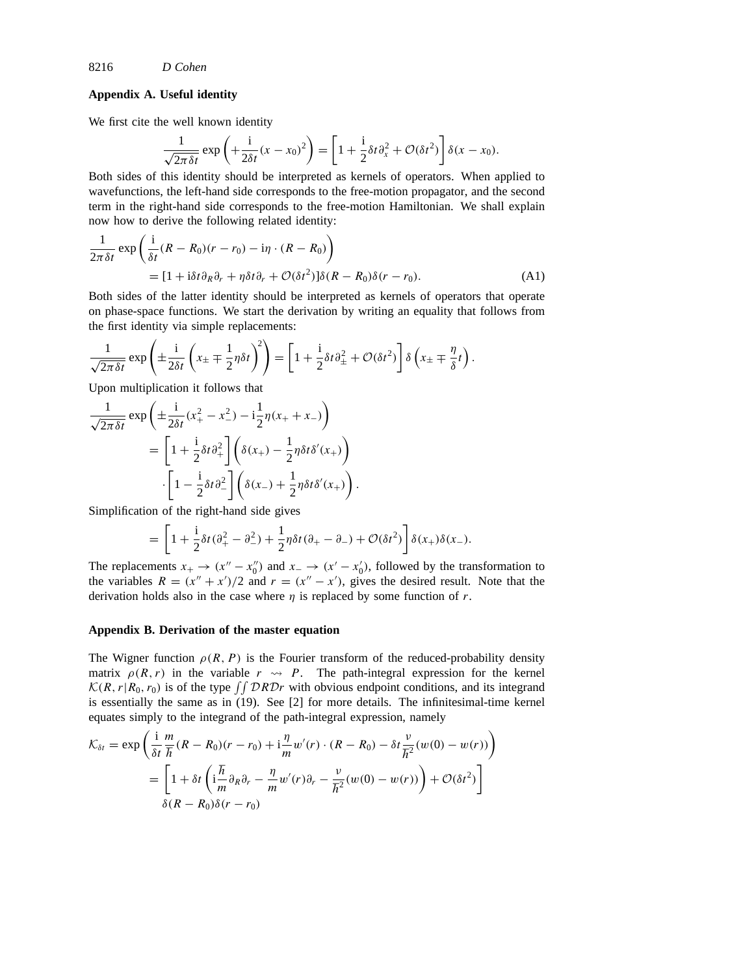# **Appendix A. Useful identity**

We first cite the well known identity

$$
\frac{1}{\sqrt{2\pi\delta t}}\exp\left(+\frac{\mathrm{i}}{2\delta t}(x-x_0)^2\right)=\left[1+\frac{\mathrm{i}}{2}\delta t\partial_x^2+\mathcal{O}(\delta t^2)\right]\delta(x-x_0).
$$

Both sides of this identity should be interpreted as kernels of operators. When applied to wavefunctions, the left-hand side corresponds to the free-motion propagator, and the second term in the right-hand side corresponds to the free-motion Hamiltonian. We shall explain now how to derive the following related identity:

$$
\frac{1}{2\pi\delta t} \exp\left(\frac{i}{\delta t}(R - R_0)(r - r_0) - i\eta \cdot (R - R_0)\right)
$$
  
= 
$$
[1 + i\delta t \partial_R \partial_r + \eta \delta t \partial_r + \mathcal{O}(\delta t^2)]\delta(R - R_0)\delta(r - r_0).
$$
 (A1)

Both sides of the latter identity should be interpreted as kernels of operators that operate on phase-space functions. We start the derivation by writing an equality that follows from the first identity via simple replacements:

$$
\frac{1}{\sqrt{2\pi\delta t}}\exp\left(\pm\frac{i}{2\delta t}\left(x_{\pm}\mp\frac{1}{2}\eta\delta t\right)^2\right)=\left[1+\frac{i}{2}\delta t\partial_{\pm}^2+\mathcal{O}(\delta t^2)\right]\delta\left(x_{\pm}\mp\frac{\eta}{\delta}t\right).
$$

Upon multiplication it follows that

$$
\frac{1}{\sqrt{2\pi\delta t}} \exp\left(\pm\frac{i}{2\delta t}(x_+^2 - x_-^2) - i\frac{1}{2}\eta(x_+ + x_-)\right)
$$

$$
= \left[1 + \frac{i}{2}\delta t \partial_+^2\right] \left(\delta(x_+) - \frac{1}{2}\eta\delta t \delta'(x_+)\right)
$$

$$
\cdot \left[1 - \frac{i}{2}\delta t \partial_-^2\right] \left(\delta(x_-) + \frac{1}{2}\eta\delta t \delta'(x_+)\right).
$$

Simplification of the right-hand side gives

$$
= \left[1 + \frac{\mathrm{i}}{2}\delta t(\partial_+^2 - \partial_-^2) + \frac{1}{2}\eta\delta t(\partial_+ - \partial_-) + \mathcal{O}(\delta t^2)\right]\delta(x_+)\delta(x_-).
$$

The replacements  $x_+ \to (x'' - x_0'')$  and  $x_- \to (x' - x_0')$ , followed by the transformation to the variables  $R = (x'' + x')/2$  and  $r = (x'' - x')$ , gives the desired result. Note that the derivation holds also in the case where  $\eta$  is replaced by some function of  $r$ .

### **Appendix B. Derivation of the master equation**

The Wigner function  $\rho(R, P)$  is the Fourier transform of the reduced-probability density matrix  $\rho(R, r)$  in the variable  $r \rightarrow P$ . The path-integral expression for the kernel  $K(R, r | R_0, r_0)$  is of the type  $\iint \mathcal{D}R\mathcal{D}r$  with obvious endpoint conditions, and its integrand is essentially the same as in (19). See [2] for more details. The infinitesimal-time kernel equates simply to the integrand of the path-integral expression, namely

$$
\mathcal{K}_{\delta t} = \exp\left(\frac{\mathrm{i}}{\delta t} \frac{m}{\hbar} (R - R_0)(r - r_0) + \mathrm{i} \frac{\eta}{m} w'(r) \cdot (R - R_0) - \delta t \frac{\nu}{\hbar^2} (w(0) - w(r))\right)
$$
  

$$
= \left[1 + \delta t \left(\mathrm{i} \frac{\hbar}{m} \partial_R \partial_r - \frac{\eta}{m} w'(r) \partial_r - \frac{\nu}{\hbar^2} (w(0) - w(r))\right) + \mathcal{O}(\delta t^2)\right]
$$
  

$$
\delta (R - R_0) \delta (r - r_0)
$$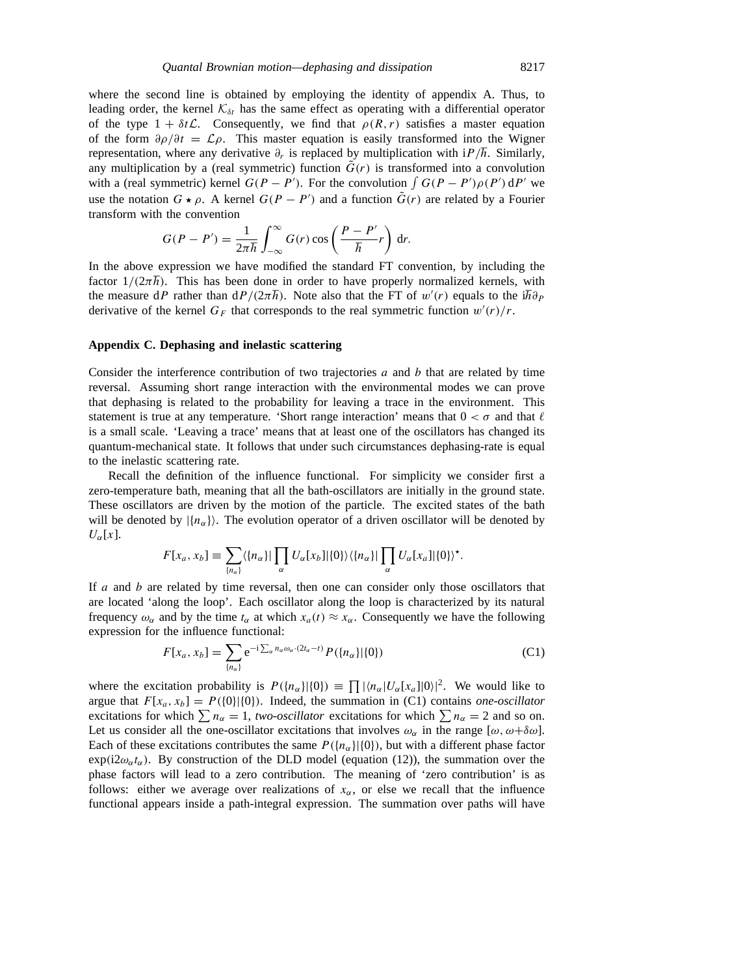where the second line is obtained by employing the identity of appendix A. Thus, to leading order, the kernel  $K_{\delta t}$  has the same effect as operating with a differential operator of the type  $1 + \delta t \mathcal{L}$ . Consequently, we find that  $\rho(R, r)$  satisfies a master equation of the form  $\partial \rho/\partial t = \mathcal{L}\rho$ . This master equation is easily transformed into the Wigner representation, where any derivative  $\partial_r$  is replaced by multiplication with i $P/\hbar$ . Similarly, any multiplication by a (real symmetric) function  $\tilde{G}(r)$  is transformed into a convolution with a (real symmetric) kernel  $G(P - P')$ . For the convolution  $\int G(P - P')\rho(P') dP'$  we use the notation  $G \star \rho$ . A kernel  $G(P - P')$  and a function  $\tilde{G}(r)$  are related by a Fourier transform with the convention

$$
G(P - P') = \frac{1}{2\pi\hbar} \int_{-\infty}^{\infty} G(r) \cos\left(\frac{P - P'}{\hbar}r\right) dr.
$$

In the above expression we have modified the standard FT convention, by including the factor  $1/(2\pi\hbar)$ . This has been done in order to have properly normalized kernels, with the measure d*P* rather than  $dP/(2\pi\hbar)$ . Note also that the FT of  $w'(r)$  equals to the i $\hbar \partial_P$ derivative of the kernel  $G_F$  that corresponds to the real symmetric function  $w'(r)/r$ .

### **Appendix C. Dephasing and inelastic scattering**

Consider the interference contribution of two trajectories *a* and *b* that are related by time reversal. Assuming short range interaction with the environmental modes we can prove that dephasing is related to the probability for leaving a trace in the environment. This statement is true at any temperature. 'Short range interaction' means that  $0 < \sigma$  and that  $\ell$ is a small scale. 'Leaving a trace' means that at least one of the oscillators has changed its quantum-mechanical state. It follows that under such circumstances dephasing-rate is equal to the inelastic scattering rate.

Recall the definition of the influence functional. For simplicity we consider first a zero-temperature bath, meaning that all the bath-oscillators are initially in the ground state. These oscillators are driven by the motion of the particle. The excited states of the bath will be denoted by  $\{n_{\alpha}\}\$ . The evolution operator of a driven oscillator will be denoted by  $U_{\alpha}[x]$ .

$$
F[x_a, x_b] \equiv \sum_{\{n_\alpha\}} \langle \{n_\alpha\} | \prod_\alpha U_\alpha[x_b] | \{0\} \rangle \langle \{n_\alpha\} | \prod_\alpha U_\alpha[x_\alpha] | \{0\} \rangle^*.
$$

If *a* and *b* are related by time reversal, then one can consider only those oscillators that are located 'along the loop'. Each oscillator along the loop is characterized by its natural frequency  $\omega_{\alpha}$  and by the time  $t_{\alpha}$  at which  $x_a(t) \approx x_{\alpha}$ . Consequently we have the following expression for the influence functional:

$$
F[x_a, x_b] = \sum_{\{n_{\alpha}\}} e^{-i \sum_{\alpha} n_{\alpha} \omega_{\alpha} \cdot (2t_{\alpha} - t)} P(\{n_{\alpha}\}|\{0\})
$$
 (C1)

where the excitation probability is  $P(\lbrace n_{\alpha} \rbrace | \{0\}) \equiv \prod |\langle n_{\alpha} | U_{\alpha}[x_{\alpha}] | 0 \rangle|^2$ . We would like to argue that  $F[x_a, x_b] = P({0}|\{0\})$ . Indeed, the summation in (C1) contains *one-oscillator* excitations for which  $\sum n_{\alpha} = 1$ , *two-oscillator* excitations for which  $\sum n_{\alpha} = 2$  and so on. Let us consider all the one-oscillator excitations that involves  $\omega_{\alpha}$  in the range  $[\omega, \omega + \delta \omega]$ . Each of these excitations contributes the same  $P(\lbrace n_{\alpha} \rbrace | \lbrace 0 \rbrace)$ , but with a different phase factor  $\exp(i2\omega_{\alpha}t_{\alpha})$ . By construction of the DLD model (equation (12)), the summation over the phase factors will lead to a zero contribution. The meaning of 'zero contribution' is as follows: either we average over realizations of  $x_\alpha$ , or else we recall that the influence functional appears inside a path-integral expression. The summation over paths will have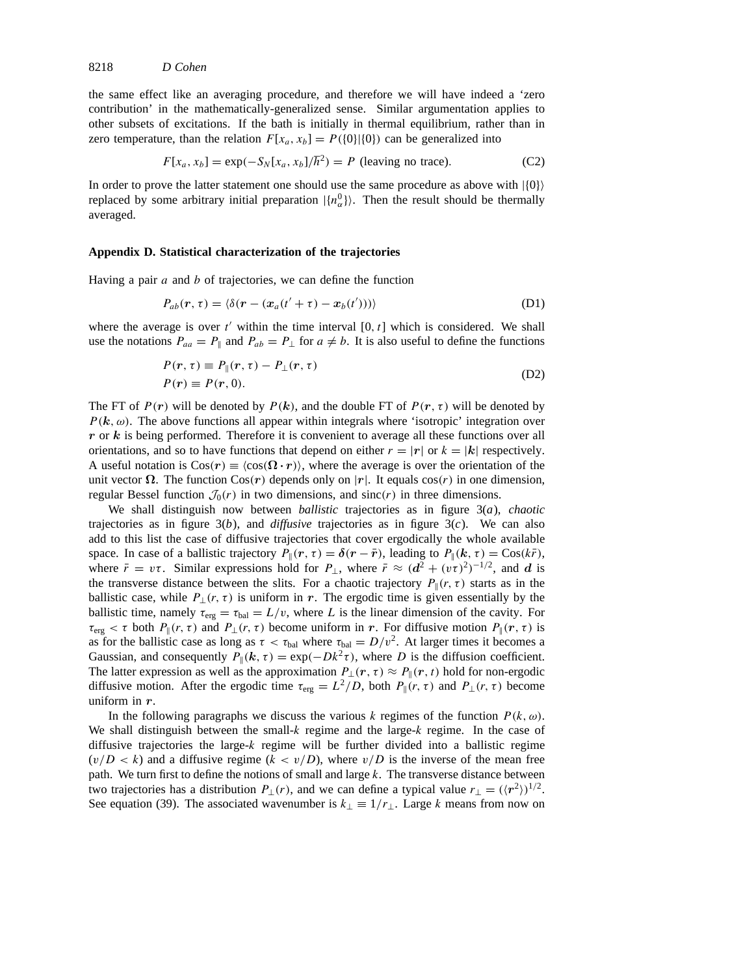the same effect like an averaging procedure, and therefore we will have indeed a 'zero contribution' in the mathematically-generalized sense. Similar argumentation applies to other subsets of excitations. If the bath is initially in thermal equilibrium, rather than in zero temperature, than the relation  $F[x_a, x_b] = P({0}||{0})$  can be generalized into

$$
F[x_a, x_b] = \exp(-S_N[x_a, x_b]/\hbar^2) = P \text{ (leaving no trace).}
$$
 (C2)

In order to prove the latter statement one should use the same procedure as above with  $|\{0\}\rangle$ replaced by some arbitrary initial preparation  $|{n_{\alpha}^0}\rangle$ . Then the result should be thermally averaged.

#### **Appendix D. Statistical characterization of the trajectories**

Having a pair *a* and *b* of trajectories, we can define the function

$$
P_{ab}(\mathbf{r},\tau) = \langle \delta(\mathbf{r} - (\mathbf{x}_a(t' + \tau) - \mathbf{x}_b(t'))) \rangle \tag{D1}
$$

where the average is over  $t'$  within the time interval  $[0, t]$  which is considered. We shall use the notations  $P_{aa} = P_{\parallel}$  and  $P_{ab} = P_{\perp}$  for  $a \neq b$ . It is also useful to define the functions

$$
P(r, \tau) \equiv P_{\parallel}(r, \tau) - P_{\perp}(r, \tau)
$$
  
\n
$$
P(r) \equiv P(r, 0).
$$
 (D2)

The FT of  $P(r)$  will be denoted by  $P(k)$ , and the double FT of  $P(r, \tau)$  will be denoted by  $P(k, \omega)$ . The above functions all appear within integrals where 'isotropic' integration over *r* or *k* is being performed. Therefore it is convenient to average all these functions over all orientations, and so to have functions that depend on either  $r = |r|$  or  $k = |k|$  respectively. A useful notation is  $\text{Cos}(r) \equiv \langle \text{cos}(\Omega \cdot r) \rangle$ , where the average is over the orientation of the unit vector Ω. The function  $Cos(r)$  depends only on |r|. It equals  $cos(r)$  in one dimension, regular Bessel function  $\mathcal{J}_0(r)$  in two dimensions, and sinc $(r)$  in three dimensions.

We shall distinguish now between *ballistic* trajectories as in figure 3(*a*), *chaotic* trajectories as in figure  $3(b)$ , and *diffusive* trajectories as in figure  $3(c)$ . We can also add to this list the case of diffusive trajectories that cover ergodically the whole available space. In case of a ballistic trajectory  $P_{\parallel}(r, \tau) = \delta(r - \bar{r})$ , leading to  $P_{\parallel}(k, \tau) = \cos(k\bar{r})$ , where  $\bar{r} = v\tau$ . Similar expressions hold for  $P_{\perp}$ , where  $\bar{r} \approx (d^2 + (v\tau)^2)^{-1/2}$ , and *d* is the transverse distance between the slits. For a chaotic trajectory  $P_{\parallel}(r, \tau)$  starts as in the ballistic case, while  $P_{\perp}(r, \tau)$  is uniform in *r*. The ergodic time is given essentially by the ballistic time, namely  $\tau_{\text{erg}} = \tau_{\text{bal}} = L/v$ , where *L* is the linear dimension of the cavity. For  $\tau_{\text{erg}} < \tau$  both  $P_{\parallel}(r, \tau)$  and  $P_{\perp}(r, \tau)$  become uniform in *r*. For diffusive motion  $P_{\parallel}(r, \tau)$  is as for the ballistic case as long as  $\tau < \tau_{bal}$  where  $\tau_{bal} = D/v^2$ . At larger times it becomes a Gaussian, and consequently  $P_{\parallel}(k, \tau) = \exp(-Dk^2 \tau)$ , where *D* is the diffusion coefficient. The latter expression as well as the approximation  $P_{\perp}(r, \tau) \approx P_{\parallel}(r, t)$  hold for non-ergodic diffusive motion. After the ergodic time  $\tau_{\text{erg}} = L^2/D$ , both  $P_{\parallel}(r, \tau)$  and  $P_{\perp}(r, \tau)$  become uniform in *r*.

In the following paragraphs we discuss the various *k* regimes of the function *P (k, ω)*. We shall distinguish between the small-*k* regime and the large-*k* regime. In the case of diffusive trajectories the large-*k* regime will be further divided into a ballistic regime  $(v/D < k)$  and a diffusive regime  $(k < v/D)$ , where  $v/D$  is the inverse of the mean free path. We turn first to define the notions of small and large *k*. The transverse distance between two trajectories has a distribution  $P_{\perp}(r)$ , and we can define a typical value  $r_{\perp} = (\langle r^2 \rangle)^{1/2}$ . See equation (39). The associated wavenumber is  $k_{\perp} \equiv 1/r_{\perp}$ . Large *k* means from now on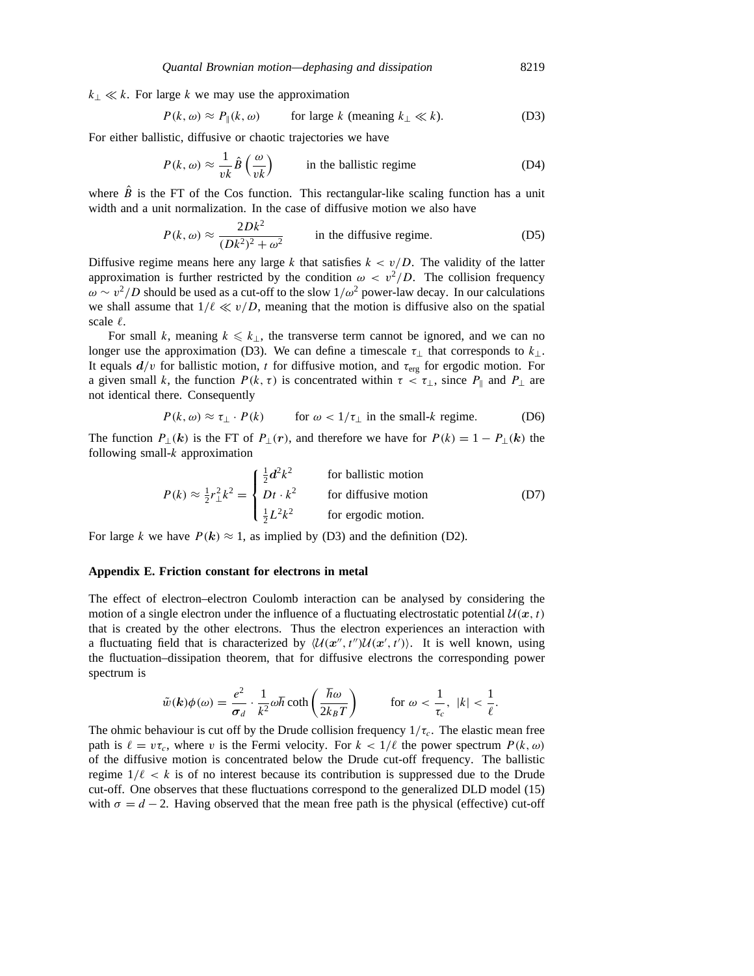$k<sub>⊥</sub>$   $\ll k$ . For large *k* we may use the approximation

$$
P(k, \omega) \approx P_{\parallel}(k, \omega)
$$
 for large k (meaning  $k_{\perp} \ll k$ ). (D3)

For either ballistic, diffusive or chaotic trajectories we have

$$
P(k, \omega) \approx \frac{1}{vk} \hat{B} \left( \frac{\omega}{vk} \right)
$$
 in the ballistic regime (D4)

where  $\hat{B}$  is the FT of the Cos function. This rectangular-like scaling function has a unit width and a unit normalization. In the case of diffusive motion we also have

$$
P(k, \omega) \approx \frac{2Dk^2}{(Dk^2)^2 + \omega^2}
$$
 in the diffusive regime. (D5)

Diffusive regime means here any large *k* that satisfies  $k < v/D$ . The validity of the latter approximation is further restricted by the condition  $\omega < v^2/D$ . The collision frequency  $\omega \sim v^2/D$  should be used as a cut-off to the slow  $1/\omega^2$  power-law decay. In our calculations we shall assume that  $1/\ell \ll v/D$ , meaning that the motion is diffusive also on the spatial scale  $\ell$ .

For small *k*, meaning  $k \leq k_{\perp}$ , the transverse term cannot be ignored, and we can no longer use the approximation (D3). We can define a timescale  $\tau_{\perp}$  that corresponds to  $k_{\perp}$ . It equals  $d/v$  for ballistic motion, *t* for diffusive motion, and  $\tau_{\text{erg}}$  for ergodic motion. For a given small *k*, the function  $P(k, \tau)$  is concentrated within  $\tau < \tau_{\perp}$ , since  $P_{\parallel}$  and  $P_{\perp}$  are not identical there. Consequently

$$
P(k, \omega) \approx \tau_{\perp} \cdot P(k)
$$
 for  $\omega < 1/\tau_{\perp}$  in the small-k regime. (D6)

The function  $P_{\perp}(k)$  is the FT of  $P_{\perp}(r)$ , and therefore we have for  $P(k) = 1 - P_{\perp}(k)$  the following small-*k* approximation

$$
P(k) \approx \frac{1}{2}r_{\perp}^{2}k^{2} = \begin{cases} \frac{1}{2}d^{2}k^{2} & \text{for ballistic motion} \\ Dt \cdot k^{2} & \text{for diffusive motion} \\ \frac{1}{2}L^{2}k^{2} & \text{for ergodic motion.} \end{cases}
$$
 (D7)

For large *k* we have  $P(k) \approx 1$ , as implied by (D3) and the definition (D2).

#### **Appendix E. Friction constant for electrons in metal**

The effect of electron–electron Coulomb interaction can be analysed by considering the motion of a single electron under the influence of a fluctuating electrostatic potential  $U(x, t)$ that is created by the other electrons. Thus the electron experiences an interaction with a fluctuating field that is characterized by  $\langle U(x'',t'')U(x',t')\rangle$ . It is well known, using the fluctuation–dissipation theorem, that for diffusive electrons the corresponding power spectrum is

$$
\tilde{w}(\boldsymbol{k})\phi(\omega) = \frac{e^2}{\sigma_d} \cdot \frac{1}{k^2} \omega \hbar \coth\left(\frac{\hbar \omega}{2k_B T}\right) \qquad \text{for } \omega < \frac{1}{\tau_c}, \ |\boldsymbol{k}| < \frac{1}{\ell}.
$$

The ohmic behaviour is cut off by the Drude collision frequency  $1/\tau_c$ . The elastic mean free path is  $\ell = v\tau_c$ , where *v* is the Fermi velocity. For  $k < 1/\ell$  the power spectrum  $P(k, \omega)$ of the diffusive motion is concentrated below the Drude cut-off frequency. The ballistic regime  $1/\ell < k$  is of no interest because its contribution is suppressed due to the Drude cut-off. One observes that these fluctuations correspond to the generalized DLD model (15) with  $\sigma = d - 2$ . Having observed that the mean free path is the physical (effective) cut-off